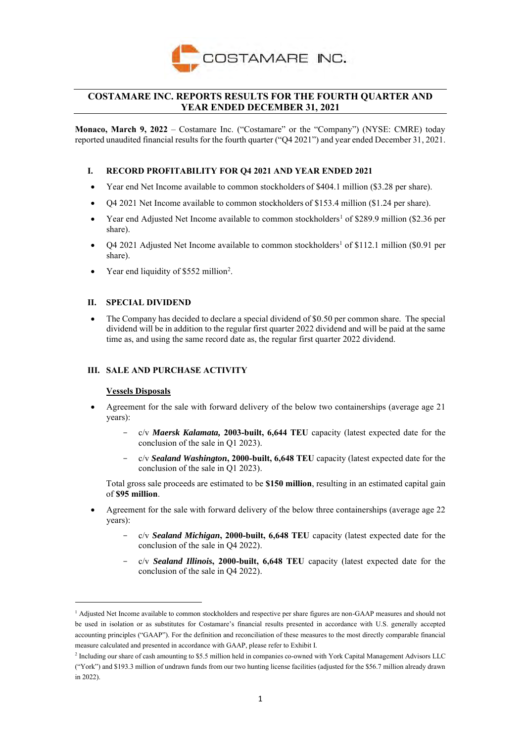

# **COSTAMARE INC. REPORTS RESULTS FOR THE FOURTH QUARTER AND YEAR ENDED DECEMBER 31, 2021**

**Monaco, March 9, 2022** – Costamare Inc. ("Costamare" or the "Company") (NYSE: CMRE) today reported unaudited financial results for the fourth quarter ("Q4 2021") and year ended December 31, 2021.

# **I. RECORD PROFITABILITY FOR Q4 2021 AND YEAR ENDED 2021**

- Year end Net Income available to common stockholders of \$404.1 million (\$3.28 per share).
- Q4 2021 Net Income available to common stockholders of \$153.4 million (\$1.24 per share).
- Year end Adjusted Net Income available to common stockholders<sup>1</sup> of \$289.9 million (\$2.36 per share).
- Q4 2021 Adjusted Net Income available to common stockholders<sup>1</sup> of \$112.1 million (\$0.91 per share).
- Year end liquidity of \$552 million<sup>2</sup>.

# **II. SPECIAL DIVIDEND**

• The Company has decided to declare a special dividend of \$0.50 per common share. The special dividend will be in addition to the regular first quarter 2022 dividend and will be paid at the same time as, and using the same record date as, the regular first quarter 2022 dividend.

# **III. SALE AND PURCHASE ACTIVITY**

## **Vessels Disposals**

- Agreement for the sale with forward delivery of the below two containerships (average age 21 years):
	- c/v *Maersk Kalamata,* **2003-built, 6,644 TEU** capacity (latest expected date for the conclusion of the sale in Q1 2023).
	- c/v *Sealand Washington***, 2000-built, 6,648 TEU** capacity (latest expected date for the conclusion of the sale in Q1 2023).

Total gross sale proceeds are estimated to be **\$150 million**, resulting in an estimated capital gain of **\$95 million**.

- Agreement for the sale with forward delivery of the below three containerships (average age 22 years):
	- c/v *Sealand Michigan***, 2000-built, 6,648 TEU** capacity (latest expected date for the conclusion of the sale in Q4 2022).
	- c/v *Sealand Illinois***, 2000-built, 6,648 TEU** capacity (latest expected date for the conclusion of the sale in Q4 2022).

 $<sup>1</sup>$  Adjusted Net Income available to common stockholders and respective per share figures are non-GAAP measures and should not</sup> be used in isolation or as substitutes for Costamare's financial results presented in accordance with U.S. generally accepted accounting principles ("GAAP"). For the definition and reconciliation of these measures to the most directly comparable financial measure calculated and presented in accordance with GAAP, please refer to Exhibit I.

<sup>&</sup>lt;sup>2</sup> Including our share of cash amounting to \$5.5 million held in companies co-owned with York Capital Management Advisors LLC ("York") and \$193.3 million of undrawn funds from our two hunting license facilities (adjusted for the \$56.7 million already drawn in 2022).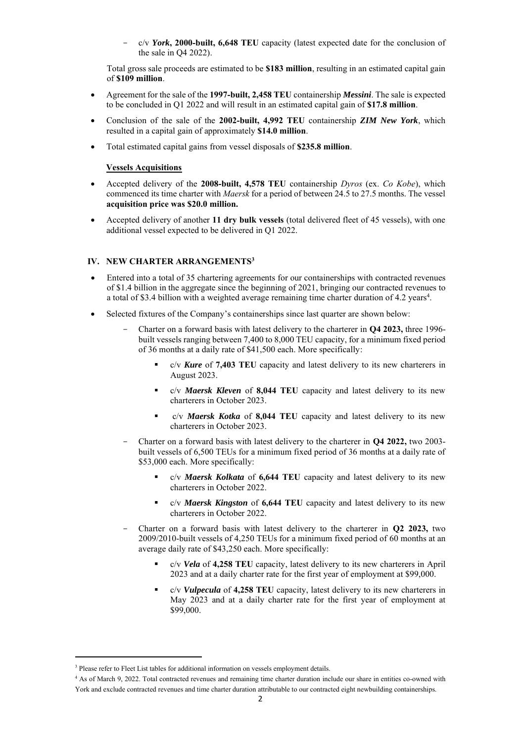c/v *York***, 2000-built, 6,648 TEU** capacity (latest expected date for the conclusion of the sale in Q4 2022).

Total gross sale proceeds are estimated to be **\$183 million**, resulting in an estimated capital gain of **\$109 million**.

- Agreement for the sale of the **1997-built, 2,458 TEU** containership *Messini*. The sale is expected to be concluded in Q1 2022 and will result in an estimated capital gain of **\$17.8 million**.
- Conclusion of the sale of the **2002-built, 4,992 TEU** containership *ZIM New York*, which resulted in a capital gain of approximately **\$14.0 million**.
- Total estimated capital gains from vessel disposals of **\$235.8 million**.

# **Vessels Acquisitions**

- Accepted delivery of the **2008-built, 4,578 TEU** containership *Dyros* (ex. *Co Kobe*), which commenced its time charter with *Maersk* for a period of between 24.5 to 27.5 months. The vessel **acquisition price was \$20.0 million.**
- Accepted delivery of another **11 dry bulk vessels** (total delivered fleet of 45 vessels), with one additional vessel expected to be delivered in Q1 2022.

# **IV. NEW CHARTER ARRANGEMENTS<sup>3</sup>**

- Entered into a total of 35 chartering agreements for our containerships with contracted revenues of \$1.4 billion in the aggregate since the beginning of 2021, bringing our contracted revenues to a total of \$3.4 billion with a weighted average remaining time charter duration of 4.2 years<sup>4</sup>.
- Selected fixtures of the Company's containerships since last quarter are shown below:
	- Charter on a forward basis with latest delivery to the charterer in **Q4 2023,** three 1996 built vessels ranging between 7,400 to 8,000 TEU capacity, for a minimum fixed period of 36 months at a daily rate of \$41,500 each. More specifically:
		- c/v **Kure** of **7,403 TEU** capacity and latest delivery to its new charterers in August 2023.
		- c/v **Maersk Kleven** of 8,044 TEU capacity and latest delivery to its new charterers in October 2023.
		- c/v *Maersk Kotka* of 8,044 TEU capacity and latest delivery to its new charterers in October 2023.
	- Charter on a forward basis with latest delivery to the charterer in **Q4 2022,** two 2003 built vessels of 6,500 TEUs for a minimum fixed period of 36 months at a daily rate of \$53,000 each. More specifically:
		- c/v *Maersk Kolkata* of 6,644 TEU capacity and latest delivery to its new charterers in October 2022.
		- c/v *Maersk Kingston* of 6,644 TEU capacity and latest delivery to its new charterers in October 2022.
	- Charter on a forward basis with latest delivery to the charterer in **Q2 2023,** two 2009/2010-built vessels of 4,250 TEUs for a minimum fixed period of 60 months at an average daily rate of \$43,250 each. More specifically:
		- c/v *Vela* of **4,258 TEU** capacity, latest delivery to its new charterers in April 2023 and at a daily charter rate for the first year of employment at \$99,000.
		- c/v **Vulpecula** of 4,258 TEU capacity, latest delivery to its new charterers in May 2023 and at a daily charter rate for the first year of employment at \$99,000.

<sup>&</sup>lt;sup>3</sup> Please refer to Fleet List tables for additional information on vessels employment details.

<sup>4</sup> As of March 9, 2022. Total contracted revenues and remaining time charter duration include our share in entities co-owned with York and exclude contracted revenues and time charter duration attributable to our contracted eight newbuilding containerships.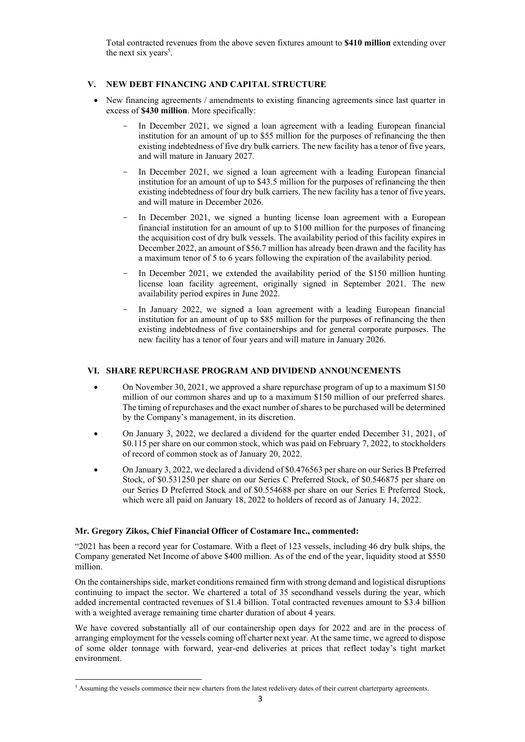Total contracted revenues from the above seven fixtures amount to **\$410 million** extending over the next six years<sup>5</sup>.

# **V. NEW DEBT FINANCING AND CAPITAL STRUCTURE**

- New financing agreements / amendments to existing financing agreements since last quarter in excess of **\$430 million**. More specifically:
	- In December 2021, we signed a loan agreement with a leading European financial institution for an amount of up to \$55 million for the purposes of refinancing the then existing indebtedness of five dry bulk carriers. The new facility has a tenor of five years, and will mature in January 2027.
	- In December 2021, we signed a loan agreement with a leading European financial institution for an amount of up to \$43.5 million for the purposes of refinancing the then existing indebtedness of four dry bulk carriers. The new facility has a tenor of five years, and will mature in December 2026.
	- In December 2021, we signed a hunting license loan agreement with a European financial institution for an amount of up to \$100 million for the purposes of financing the acquisition cost of dry bulk vessels. The availability period of this facility expires in December 2022, an amount of \$56.7 million has already been drawn and the facility has a maximum tenor of 5 to 6 years following the expiration of the availability period.
	- In December 2021, we extended the availability period of the \$150 million hunting license loan facility agreement, originally signed in September 2021. The new availability period expires in June 2022.
	- In January 2022, we signed a loan agreement with a leading European financial institution for an amount of up to \$85 million for the purposes of refinancing the then existing indebtedness of five containerships and for general corporate purposes. The new facility has a tenor of four years and will mature in January 2026.

# **VI. SHARE REPURCHASE PROGRAM AND DIVIDEND ANNOUNCEMENTS**

- On November 30, 2021, we approved a share repurchase program of up to a maximum \$150 million of our common shares and up to a maximum \$150 million of our preferred shares. The timing of repurchases and the exact number of shares to be purchased will be determined by the Company's management, in its discretion.
- On January 3, 2022, we declared a dividend for the quarter ended December 31, 2021, of \$0.115 per share on our common stock, which was paid on February 7, 2022, to stockholders of record of common stock as of January 20, 2022.
- On January 3, 2022, we declared a dividend of \$0.476563 per share on our Series B Preferred Stock, of \$0.531250 per share on our Series C Preferred Stock, of \$0.546875 per share on our Series D Preferred Stock and of \$0.554688 per share on our Series E Preferred Stock, which were all paid on January 18, 2022 to holders of record as of January 14, 2022.

# **Mr. Gregory Zikos, Chief Financial Officer of Costamare Inc., commented:**

"2021 has been a record year for Costamare. With a fleet of 123 vessels, including 46 dry bulk ships, the Company generated Net Income of above \$400 million. As of the end of the year, liquidity stood at \$550 million.

On the containerships side, market conditions remained firm with strong demand and logistical disruptions continuing to impact the sector. We chartered a total of 35 secondhand vessels during the year, which added incremental contracted revenues of \$1.4 billion. Total contracted revenues amount to \$3.4 billion with a weighted average remaining time charter duration of about 4 years.

We have covered substantially all of our containership open days for 2022 and are in the process of arranging employment for the vessels coming off charter next year. At the same time, we agreed to dispose of some older tonnage with forward, year-end deliveries at prices that reflect today's tight market environment.

<sup>5</sup> Assuming the vessels commence their new charters from the latest redelivery dates of their current charterparty agreements.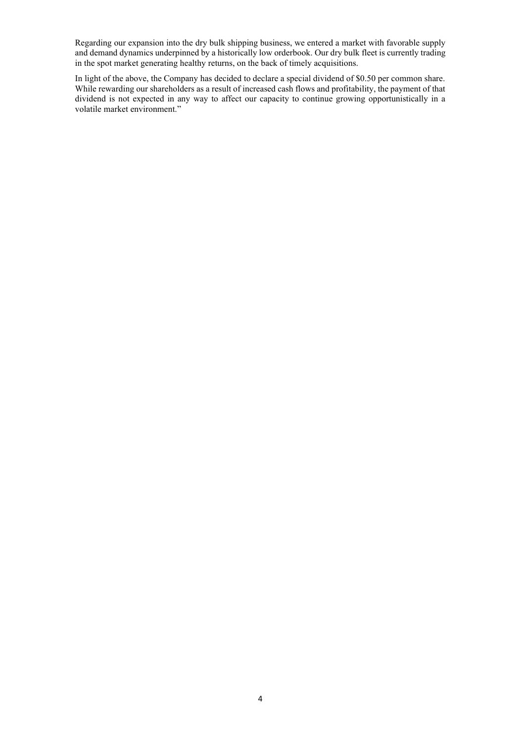Regarding our expansion into the dry bulk shipping business, we entered a market with favorable supply and demand dynamics underpinned by a historically low orderbook. Our dry bulk fleet is currently trading in the spot market generating healthy returns, on the back of timely acquisitions.

In light of the above, the Company has decided to declare a special dividend of \$0.50 per common share. While rewarding our shareholders as a result of increased cash flows and profitability, the payment of that dividend is not expected in any way to affect our capacity to continue growing opportunistically in a volatile market environment."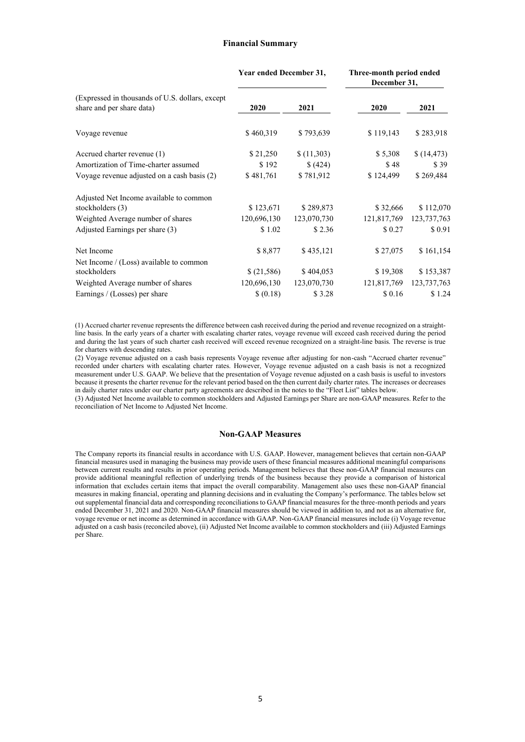### **Financial Summary**

|                                                                              | Year ended December 31, |             | Three-month period ended<br>December 31, |             |  |
|------------------------------------------------------------------------------|-------------------------|-------------|------------------------------------------|-------------|--|
| (Expressed in thousands of U.S. dollars, except<br>share and per share data) | 2020                    | 2021        | 2020                                     | 2021        |  |
| Voyage revenue                                                               | \$460,319               | \$793,639   | \$119,143                                | \$283,918   |  |
| Accrued charter revenue (1)                                                  | \$21,250                | (11,303)    | \$5,308                                  | \$(14, 473) |  |
| Amortization of Time-charter assumed                                         | \$192                   | \$(424)     | \$48                                     | \$39        |  |
| Voyage revenue adjusted on a cash basis (2)                                  | \$481,761               | \$781,912   | \$124,499                                | \$269,484   |  |
| Adjusted Net Income available to common                                      |                         |             |                                          |             |  |
| stockholders (3)                                                             | \$123,671               | \$289,873   | \$32,666                                 | \$112,070   |  |
| Weighted Average number of shares                                            | 120,696,130             | 123,070,730 | 121,817,769                              | 123,737,763 |  |
| Adjusted Earnings per share (3)                                              | \$1.02                  | \$2.36      | \$0.27                                   | \$0.91      |  |
| Net Income                                                                   | \$8,877                 | \$435,121   | \$27,075                                 | \$161,154   |  |
| Net Income $/(Loss)$ available to common                                     |                         |             |                                          |             |  |
| stockholders                                                                 | \$ (21,586)             | \$404,053   | \$19,308                                 | \$153,387   |  |
| Weighted Average number of shares                                            | 120,696,130             | 123,070,730 | 121,817,769                              | 123,737,763 |  |
| Earnings / (Losses) per share                                                | \$ (0.18)               | \$3.28      | \$0.16                                   | \$1.24      |  |

(1) Accrued charter revenue represents the difference between cash received during the period and revenue recognized on a straightline basis. In the early years of a charter with escalating charter rates, voyage revenue will exceed cash received during the period and during the last years of such charter cash received will exceed revenue recognized on a straight-line basis. The reverse is true for charters with descending rates.

(2) Voyage revenue adjusted on a cash basis represents Voyage revenue after adjusting for non-cash "Accrued charter revenue" recorded under charters with escalating charter rates. However, Voyage revenue adjusted on a cash basis is not a recognized measurement under U.S. GAAP. We believe that the presentation of Voyage revenue adjusted on a cash basis is useful to investors because it presents the charter revenue for the relevant period based on the then current daily charter rates. The increases or decreases in daily charter rates under our charter party agreements are described in the notes to the "Fleet List" tables below.

(3) Adjusted Net Income available to common stockholders and Adjusted Earnings per Share are non-GAAP measures. Refer to the reconciliation of Net Income to Adjusted Net Income.

## **Non-GAAP Measures**

The Company reports its financial results in accordance with U.S. GAAP. However, management believes that certain non-GAAP financial measures used in managing the business may provide users of these financial measures additional meaningful comparisons between current results and results in prior operating periods. Management believes that these non-GAAP financial measures can provide additional meaningful reflection of underlying trends of the business because they provide a comparison of historical information that excludes certain items that impact the overall comparability. Management also uses these non-GAAP financial measures in making financial, operating and planning decisions and in evaluating the Company's performance. The tables below set out supplemental financial data and corresponding reconciliations to GAAP financial measures for the three-month periods and years ended December 31, 2021 and 2020. Non-GAAP financial measures should be viewed in addition to, and not as an alternative for, voyage revenue or net income as determined in accordance with GAAP. Non-GAAP financial measures include (i) Voyage revenue adjusted on a cash basis (reconciled above), (ii) Adjusted Net Income available to common stockholders and (iii) Adjusted Earnings per Share.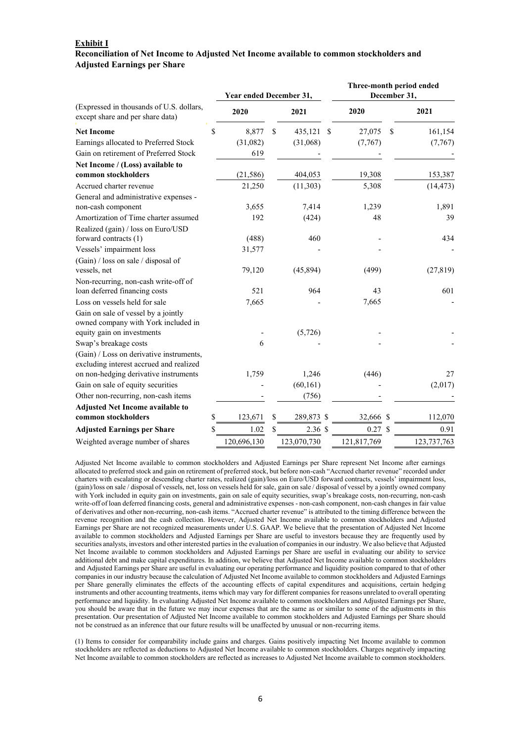#### **Exhibit I**

# **Reconciliation of Net Income to Adjusted Net Income available to common stockholders and Adjusted Earnings per Share**

|                                                                                                          | Year ended December 31, |                  |      |             |               | Three-month period ended<br>December 31, |
|----------------------------------------------------------------------------------------------------------|-------------------------|------------------|------|-------------|---------------|------------------------------------------|
| (Expressed in thousands of U.S. dollars,<br>except share and per share data)                             | 2020                    | 2021             |      | 2020        |               | 2021                                     |
| <b>Net Income</b>                                                                                        | \$<br>8,877             | \$<br>435,121    | - \$ | 27,075      | \$            | 161,154                                  |
| Earnings allocated to Preferred Stock                                                                    | (31,082)                | (31,068)         |      | (7,767)     |               | (7,767)                                  |
| Gain on retirement of Preferred Stock                                                                    | 619                     |                  |      |             |               |                                          |
| Net Income / (Loss) available to                                                                         |                         |                  |      |             |               |                                          |
| common stockholders                                                                                      | (21, 586)               | 404,053          |      | 19,308      |               | 153,387                                  |
| Accrued charter revenue                                                                                  | 21,250                  | (11, 303)        |      | 5,308       |               | (14, 473)                                |
| General and administrative expenses -                                                                    |                         |                  |      |             |               |                                          |
| non-cash component                                                                                       | 3,655                   | 7,414            |      | 1,239       |               | 1,891                                    |
| Amortization of Time charter assumed                                                                     | 192                     | (424)            |      | 48          |               | 39                                       |
| Realized (gain) / loss on Euro/USD<br>forward contracts (1)                                              | (488)                   | 460              |      |             |               | 434                                      |
| Vessels' impairment loss                                                                                 | 31,577                  |                  |      |             |               |                                          |
| (Gain) / loss on sale / disposal of                                                                      |                         |                  |      |             |               |                                          |
| vessels, net                                                                                             | 79,120                  | (45, 894)        |      | (499)       |               | (27, 819)                                |
| Non-recurring, non-cash write-off of                                                                     |                         |                  |      |             |               |                                          |
| loan deferred financing costs                                                                            | 521                     | 964              |      | 43          |               | 601                                      |
| Loss on vessels held for sale                                                                            | 7,665                   |                  |      | 7,665       |               |                                          |
| Gain on sale of vessel by a jointly<br>owned company with York included in<br>equity gain on investments |                         | (5,726)          |      |             |               |                                          |
| Swap's breakage costs                                                                                    | 6                       |                  |      |             |               |                                          |
| (Gain) / Loss on derivative instruments,<br>excluding interest accrued and realized                      |                         |                  |      |             |               |                                          |
| on non-hedging derivative instruments                                                                    | 1,759                   | 1,246            |      | (446)       |               | 27                                       |
| Gain on sale of equity securities                                                                        |                         | (60, 161)        |      |             |               | (2,017)                                  |
| Other non-recurring, non-cash items                                                                      |                         | (756)            |      |             |               |                                          |
| <b>Adjusted Net Income available to</b><br>common stockholders                                           | \$<br>123,671           | \$<br>289,873 \$ |      | 32,666      | $\mathcal{S}$ | 112,070                                  |
| <b>Adjusted Earnings per Share</b>                                                                       | 1.02                    | \$<br>2.36S      |      | 0.27        | S             | 0.91                                     |
| Weighted average number of shares                                                                        | 120,696,130             | 123,070,730      |      | 121,817,769 |               | 123,737,763                              |

Adjusted Net Income available to common stockholders and Adjusted Earnings per Share represent Net Income after earnings allocated to preferred stock and gain on retirement of preferred stock, but before non-cash "Accrued charter revenue" recorded under charters with escalating or descending charter rates, realized (gain)/loss on Euro/USD forward contracts, vessels' impairment loss, (gain)/loss on sale / disposal of vessels, net, loss on vessels held for sale, gain on sale / disposal of vessel by a jointly owned company with York included in equity gain on investments, gain on sale of equity securities, swap's breakage costs, non-recurring, non-cash write-off of loan deferred financing costs, general and administrative expenses - non-cash component, non-cash changes in fair value of derivatives and other non-recurring, non-cash items. "Accrued charter revenue" is attributed to the timing difference between the revenue recognition and the cash collection. However, Adjusted Net Income available to common stockholders and Adjusted Earnings per Share are not recognized measurements under U.S. GAAP. We believe that the presentation of Adjusted Net Income available to common stockholders and Adjusted Earnings per Share are useful to investors because they are frequently used by securities analysts, investors and other interested parties in the evaluation of companies in our industry. We also believe that Adjusted Net Income available to common stockholders and Adjusted Earnings per Share are useful in evaluating our ability to service additional debt and make capital expenditures. In addition, we believe that Adjusted Net Income available to common stockholders and Adjusted Earnings per Share are useful in evaluating our operating performance and liquidity position compared to that of other companies in our industry because the calculation of Adjusted Net Income available to common stockholders and Adjusted Earnings per Share generally eliminates the effects of the accounting effects of capital expenditures and acquisitions, certain hedging instruments and other accounting treatments, items which may vary for different companies for reasons unrelated to overall operating performance and liquidity. In evaluating Adjusted Net Income available to common stockholders and Adjusted Earnings per Share, you should be aware that in the future we may incur expenses that are the same as or similar to some of the adjustments in this presentation. Our presentation of Adjusted Net Income available to common stockholders and Adjusted Earnings per Share should not be construed as an inference that our future results will be unaffected by unusual or non-recurring items.

(1) Items to consider for comparability include gains and charges. Gains positively impacting Net Income available to common stockholders are reflected as deductions to Adjusted Net Income available to common stockholders. Charges negatively impacting Net Income available to common stockholders are reflected as increases to Adjusted Net Income available to common stockholders.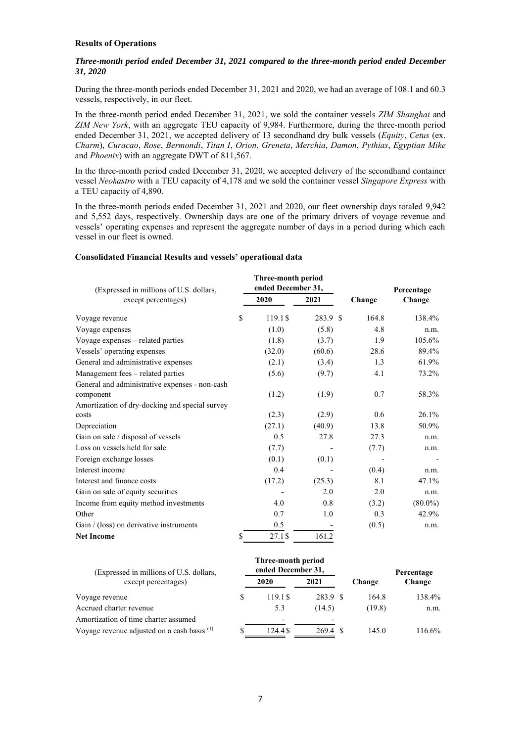# **Results of Operations**

# *Three-month period ended December 31, 2021 compared to the three-month period ended December 31, 2020*

During the three-month periods ended December 31, 2021 and 2020, we had an average of 108.1 and 60.3 vessels, respectively, in our fleet.

In the three-month period ended December 31, 2021, we sold the container vessels *ZIM Shanghai* and *ZIM New York*, with an aggregate TEU capacity of 9,984. Furthermore, during the three-month period ended December 31, 2021, we accepted delivery of 13 secondhand dry bulk vessels (*Equity*, *Cetus* (ex. *Charm*), *Curacao*, *Rose*, *Bermondi*, *Titan I*, *Orion*, *Greneta*, *Merchia*, *Damon*, *Pythias*, *Egyptian Mike* and *Phoenix*) with an aggregate DWT of 811,567.

In the three-month period ended December 31, 2020, we accepted delivery of the secondhand container vessel *Neokastro* with a TEU capacity of 4,178 and we sold the container vessel *Singapore Express* with a TEU capacity of 4,890.

In the three-month periods ended December 31, 2021 and 2020, our fleet ownership days totaled 9,942 and 5,552 days, respectively. Ownership days are one of the primary drivers of voyage revenue and vessels' operating expenses and represent the aggregate number of days in a period during which each vessel in our fleet is owned.

## **Consolidated Financial Results and vessels' operational data**

| (Expressed in millions of U.S. dollars,<br>except percentages) |    | Three-month period<br>ended December 31, |          |        | Percentage |
|----------------------------------------------------------------|----|------------------------------------------|----------|--------|------------|
|                                                                |    | 2020                                     | 2021     | Change | Change     |
| Voyage revenue                                                 | \$ | 119.1 \$                                 | 283.9 \$ | 164.8  | 138.4%     |
| Voyage expenses                                                |    | (1.0)                                    | (5.8)    | 4.8    | n.m.       |
| Voyage expenses – related parties                              |    | (1.8)                                    | (3.7)    | 1.9    | 105.6%     |
| Vessels' operating expenses                                    |    | (32.0)                                   | (60.6)   | 28.6   | 89.4%      |
| General and administrative expenses                            |    | (2.1)                                    | (3.4)    | 1.3    | 61.9%      |
| Management fees – related parties                              |    | (5.6)                                    | (9.7)    | 4.1    | 73.2%      |
| General and administrative expenses - non-cash                 |    |                                          |          |        |            |
| component                                                      |    | (1.2)                                    | (1.9)    | 0.7    | 58.3%      |
| Amortization of dry-docking and special survey                 |    |                                          |          |        |            |
| costs                                                          |    | (2.3)                                    | (2.9)    | 0.6    | $26.1\%$   |
| Depreciation                                                   |    | (27.1)                                   | (40.9)   | 13.8   | 50.9%      |
| Gain on sale / disposal of vessels                             |    | 0.5                                      | 27.8     | 27.3   | n.m.       |
| Loss on vessels held for sale                                  |    | (7.7)                                    |          | (7.7)  | n.m.       |
| Foreign exchange losses                                        |    | (0.1)                                    | (0.1)    |        |            |
| Interest income                                                |    | 0.4                                      |          | (0.4)  | n.m.       |
| Interest and finance costs                                     |    | (17.2)                                   | (25.3)   | 8.1    | 47.1%      |
| Gain on sale of equity securities                              |    |                                          | 2.0      | 2.0    | n.m.       |
| Income from equity method investments                          |    | 4.0                                      | 0.8      | (3.2)  | $(80.0\%)$ |
| Other                                                          |    | 0.7                                      | 1.0      | 0.3    | 42.9%      |
| Gain / (loss) on derivative instruments                        |    | 0.5                                      |          | (0.5)  | n.m.       |
| <b>Net Income</b>                                              | \$ | 27.1\$                                   | 161.2    |        |            |

| (Expressed in millions of U.S. dollars,       |   | Three-month period<br>ended December 31, |          |        | Percentage |
|-----------------------------------------------|---|------------------------------------------|----------|--------|------------|
| except percentages)                           |   | 2020                                     | 2021     | Change | Change     |
| Voyage revenue                                | S | 119.1 \$                                 | 283.9 \$ | 164.8  | 138.4%     |
| Accrued charter revenue                       |   | 5.3                                      | (14.5)   | (19.8) | n.m.       |
| Amortization of time charter assumed          |   | $\overline{\phantom{a}}$                 |          |        |            |
| Voyage revenue adjusted on a cash basis $(1)$ | S | 124.4 \$                                 | 269.4    | 145.0  | 116.6%     |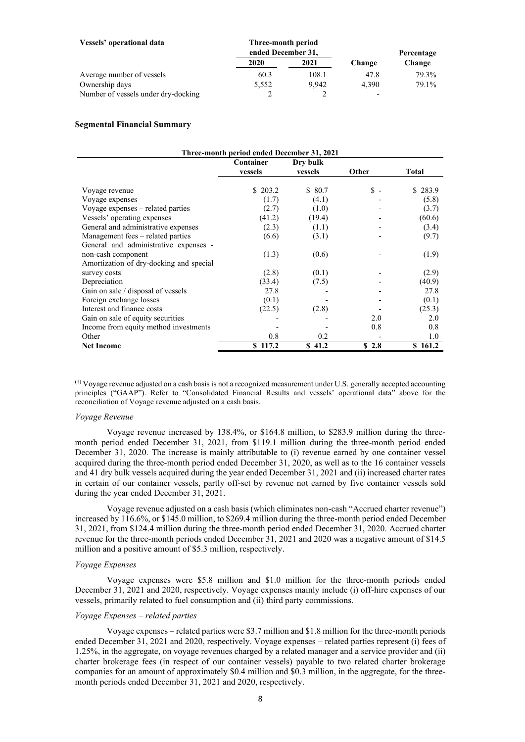| Vessels' operational data           | Three-month period |       |        |            |
|-------------------------------------|--------------------|-------|--------|------------|
|                                     | ended December 31, |       |        | Percentage |
|                                     | 2020               | 2021  | Change | Change     |
| Average number of vessels           | 60.3               | 108.1 | 47.8   | 79.3%      |
| Ownership days                      | 5,552              | 9.942 | 4.390  | 79.1%      |
| Number of vessels under dry-docking |                    |       |        |            |

## **Segmental Financial Summary**

| Three-month period ended December 31, 2021 |           |          |                |              |  |
|--------------------------------------------|-----------|----------|----------------|--------------|--|
|                                            | Container | Dry bulk |                |              |  |
|                                            | vessels   | vessels  | <b>Other</b>   | <b>Total</b> |  |
|                                            |           |          |                |              |  |
| Voyage revenue                             | \$ 203.2  | \$ 80.7  | $\mathbb{S}$ - | \$283.9      |  |
| Voyage expenses                            | (1.7)     | (4.1)    |                | (5.8)        |  |
| Voyage expenses – related parties          | (2.7)     | (1.0)    |                | (3.7)        |  |
| Vessels' operating expenses                | (41.2)    | (19.4)   |                | (60.6)       |  |
| General and administrative expenses        | (2.3)     | (1.1)    |                | (3.4)        |  |
| Management fees – related parties          | (6.6)     | (3.1)    |                | (9.7)        |  |
| General and administrative expenses -      |           |          |                |              |  |
| non-cash component                         | (1.3)     | (0.6)    |                | (1.9)        |  |
| Amortization of dry-docking and special    |           |          |                |              |  |
| survey costs                               | (2.8)     | (0.1)    |                | (2.9)        |  |
| Depreciation                               | (33.4)    | (7.5)    |                | (40.9)       |  |
| Gain on sale / disposal of vessels         | 27.8      |          |                | 27.8         |  |
| Foreign exchange losses                    | (0.1)     |          |                | (0.1)        |  |
| Interest and finance costs                 | (22.5)    | (2.8)    |                | (25.3)       |  |
| Gain on sale of equity securities          |           |          | 2.0            | 2.0          |  |
| Income from equity method investments      |           |          | 0.8            | 0.8          |  |
| Other                                      | 0.8       | 0.2      |                | 1.0          |  |
| <b>Net Income</b>                          | \$117.2   | \$41.2   | \$2.8          | \$161.2      |  |

(1) Voyage revenue adjusted on a cash basis is not a recognized measurement under U.S. generally accepted accounting principles ("GAAP"). Refer to "Consolidated Financial Results and vessels' operational data" above for the reconciliation of Voyage revenue adjusted on a cash basis.

#### *Voyage Revenue*

Voyage revenue increased by 138.4%, or \$164.8 million, to \$283.9 million during the threemonth period ended December 31, 2021, from \$119.1 million during the three-month period ended December 31, 2020. The increase is mainly attributable to (i) revenue earned by one container vessel acquired during the three-month period ended December 31, 2020, as well as to the 16 container vessels and 41 dry bulk vessels acquired during the year ended December 31, 2021 and (ii) increased charter rates in certain of our container vessels, partly off-set by revenue not earned by five container vessels sold during the year ended December 31, 2021.

Voyage revenue adjusted on a cash basis (which eliminates non-cash "Accrued charter revenue") increased by 116.6%, or \$145.0 million, to \$269.4 million during the three-month period ended December 31, 2021, from \$124.4 million during the three-month period ended December 31, 2020. Accrued charter revenue for the three-month periods ended December 31, 2021 and 2020 was a negative amount of \$14.5 million and a positive amount of \$5.3 million, respectively.

# *Voyage Expenses*

Voyage expenses were \$5.8 million and \$1.0 million for the three-month periods ended December 31, 2021 and 2020, respectively. Voyage expenses mainly include (i) off-hire expenses of our vessels, primarily related to fuel consumption and (ii) third party commissions.

# *Voyage Expenses – related parties*

Voyage expenses – related parties were \$3.7 million and \$1.8 million for the three-month periods ended December 31, 2021 and 2020, respectively. Voyage expenses – related parties represent (i) fees of 1.25%, in the aggregate, on voyage revenues charged by a related manager and a service provider and (ii) charter brokerage fees (in respect of our container vessels) payable to two related charter brokerage companies for an amount of approximately \$0.4 million and \$0.3 million, in the aggregate, for the threemonth periods ended December 31, 2021 and 2020, respectively.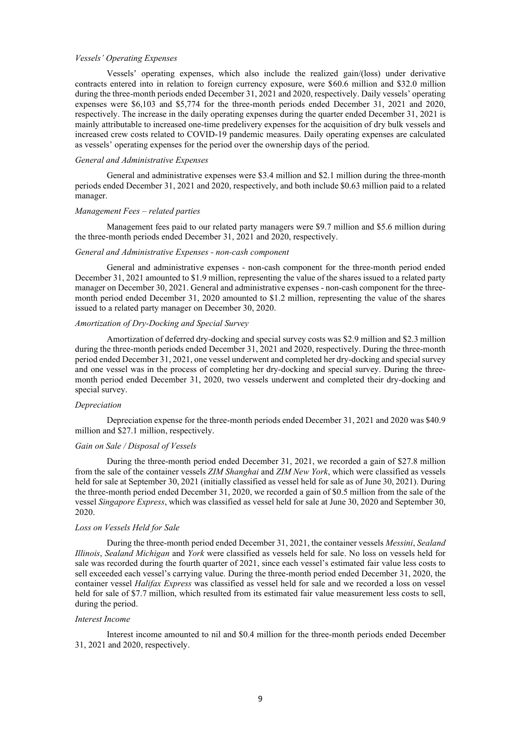## *Vessels' Operating Expenses*

Vessels' operating expenses, which also include the realized gain/(loss) under derivative contracts entered into in relation to foreign currency exposure, were \$60.6 million and \$32.0 million during the three-month periods ended December 31, 2021 and 2020, respectively. Daily vessels' operating expenses were \$6,103 and \$5,774 for the three-month periods ended December 31, 2021 and 2020, respectively. The increase in the daily operating expenses during the quarter ended December 31, 2021 is mainly attributable to increased one-time predelivery expenses for the acquisition of dry bulk vessels and increased crew costs related to COVID-19 pandemic measures. Daily operating expenses are calculated as vessels' operating expenses for the period over the ownership days of the period.

# *General and Administrative Expenses*

General and administrative expenses were \$3.4 million and \$2.1 million during the three-month periods ended December 31, 2021 and 2020, respectively, and both include \$0.63 million paid to a related manager.

## *Management Fees – related parties*

Management fees paid to our related party managers were \$9.7 million and \$5.6 million during the three-month periods ended December 31, 2021 and 2020, respectively.

#### *General and Administrative Expenses - non-cash component*

General and administrative expenses - non-cash component for the three-month period ended December 31, 2021 amounted to \$1.9 million, representing the value of the shares issued to a related party manager on December 30, 2021. General and administrative expenses - non-cash component for the threemonth period ended December 31, 2020 amounted to \$1.2 million, representing the value of the shares issued to a related party manager on December 30, 2020.

# *Amortization of Dry-Docking and Special Survey*

Amortization of deferred dry-docking and special survey costs was \$2.9 million and \$2.3 million during the three-month periods ended December 31, 2021 and 2020, respectively. During the three-month period ended December 31, 2021, one vessel underwent and completed her dry-docking and special survey and one vessel was in the process of completing her dry-docking and special survey. During the threemonth period ended December 31, 2020, two vessels underwent and completed their dry-docking and special survey.

#### *Depreciation*

Depreciation expense for the three-month periods ended December 31, 2021 and 2020 was \$40.9 million and \$27.1 million, respectively.

#### *Gain on Sale / Disposal of Vessels*

During the three-month period ended December 31, 2021, we recorded a gain of \$27.8 million from the sale of the container vessels *ZIM Shanghai* and *ZIM New York*, which were classified as vessels held for sale at September 30, 2021 (initially classified as vessel held for sale as of June 30, 2021). During the three-month period ended December 31, 2020, we recorded a gain of \$0.5 million from the sale of the vessel *Singapore Express*, which was classified as vessel held for sale at June 30, 2020 and September 30, 2020.

## *Loss on Vessels Held for Sale*

During the three-month period ended December 31, 2021, the container vessels *Messini*, *Sealand Illinois*, *Sealand Michigan* and *York* were classified as vessels held for sale. No loss on vessels held for sale was recorded during the fourth quarter of 2021, since each vessel's estimated fair value less costs to sell exceeded each vessel's carrying value. During the three-month period ended December 31, 2020, the container vessel *Halifax Express* was classified as vessel held for sale and we recorded a loss on vessel held for sale of \$7.7 million, which resulted from its estimated fair value measurement less costs to sell, during the period.

#### *Interest Income*

Interest income amounted to nil and \$0.4 million for the three-month periods ended December 31, 2021 and 2020, respectively.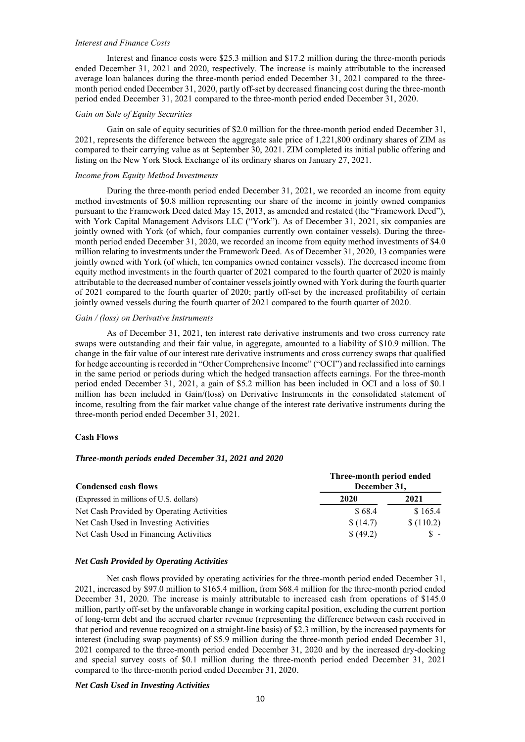## *Interest and Finance Costs*

Interest and finance costs were \$25.3 million and \$17.2 million during the three-month periods ended December 31, 2021 and 2020, respectively. The increase is mainly attributable to the increased average loan balances during the three-month period ended December 31, 2021 compared to the threemonth period ended December 31, 2020, partly off-set by decreased financing cost during the three-month period ended December 31, 2021 compared to the three-month period ended December 31, 2020.

## *Gain on Sale of Equity Securities*

Gain on sale of equity securities of \$2.0 million for the three-month period ended December 31, 2021, represents the difference between the aggregate sale price of 1,221,800 ordinary shares of ZIM as compared to their carrying value as at September 30, 2021. ZIM completed its initial public offering and listing on the New York Stock Exchange of its ordinary shares on January 27, 2021.

## *Income from Equity Method Investments*

During the three-month period ended December 31, 2021, we recorded an income from equity method investments of \$0.8 million representing our share of the income in jointly owned companies pursuant to the Framework Deed dated May 15, 2013, as amended and restated (the "Framework Deed"), with York Capital Management Advisors LLC ("York"). As of December 31, 2021, six companies are jointly owned with York (of which, four companies currently own container vessels). During the threemonth period ended December 31, 2020, we recorded an income from equity method investments of \$4.0 million relating to investments under the Framework Deed. As of December 31, 2020, 13 companies were jointly owned with York (of which, ten companies owned container vessels). The decreased income from equity method investments in the fourth quarter of 2021 compared to the fourth quarter of 2020 is mainly attributable to the decreased number of container vessels jointly owned with York during the fourth quarter of 2021 compared to the fourth quarter of 2020; partly off-set by the increased profitability of certain jointly owned vessels during the fourth quarter of 2021 compared to the fourth quarter of 2020.

#### *Gain / (loss) on Derivative Instruments*

As of December 31, 2021, ten interest rate derivative instruments and two cross currency rate swaps were outstanding and their fair value, in aggregate, amounted to a liability of \$10.9 million. The change in the fair value of our interest rate derivative instruments and cross currency swaps that qualified for hedge accounting is recorded in "Other Comprehensive Income" ("OCI") and reclassified into earnings in the same period or periods during which the hedged transaction affects earnings. For the three-month period ended December 31, 2021, a gain of \$5.2 million has been included in OCI and a loss of \$0.1 million has been included in Gain/(loss) on Derivative Instruments in the consolidated statement of income, resulting from the fair market value change of the interest rate derivative instruments during the three-month period ended December 31, 2021.

#### **Cash Flows**

# *Three-month periods ended December 31, 2021 and 2020*

| <b>Condensed cash flows</b>               | Three-month period ended<br>December 31, |           |  |  |
|-------------------------------------------|------------------------------------------|-----------|--|--|
| (Expressed in millions of U.S. dollars)   | 2020                                     | 2021      |  |  |
| Net Cash Provided by Operating Activities | \$68.4                                   | \$165.4   |  |  |
| Net Cash Used in Investing Activities     | \$(14.7)                                 | \$(110.2) |  |  |
| Net Cash Used in Financing Activities     | \$ (49.2)                                | $S -$     |  |  |

### *Net Cash Provided by Operating Activities*

Net cash flows provided by operating activities for the three-month period ended December 31, 2021, increased by \$97.0 million to \$165.4 million, from \$68.4 million for the three-month period ended December 31, 2020. The increase is mainly attributable to increased cash from operations of \$145.0 million, partly off-set by the unfavorable change in working capital position, excluding the current portion of long-term debt and the accrued charter revenue (representing the difference between cash received in that period and revenue recognized on a straight-line basis) of \$2.3 million, by the increased payments for interest (including swap payments) of \$5.9 million during the three-month period ended December 31, 2021 compared to the three-month period ended December 31, 2020 and by the increased dry-docking and special survey costs of \$0.1 million during the three-month period ended December 31, 2021 compared to the three-month period ended December 31, 2020.

#### *Net Cash Used in Investing Activities*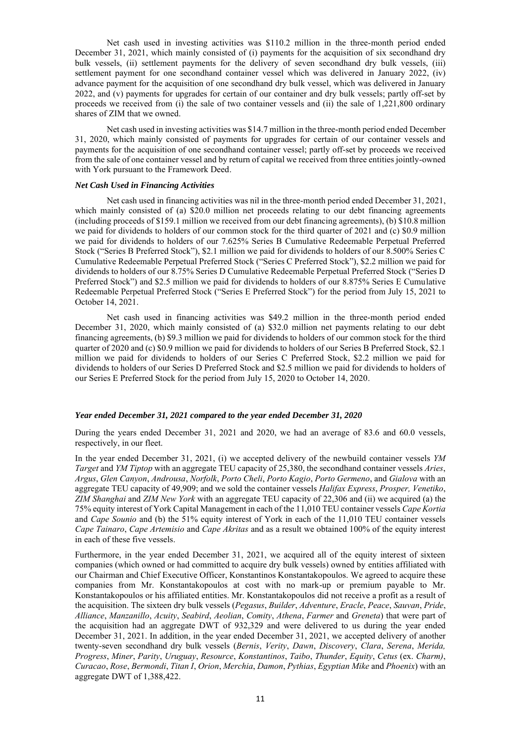Net cash used in investing activities was \$110.2 million in the three-month period ended December 31, 2021, which mainly consisted of (i) payments for the acquisition of six secondhand dry bulk vessels, (ii) settlement payments for the delivery of seven secondhand dry bulk vessels, (iii) settlement payment for one secondhand container vessel which was delivered in January 2022, (iv) advance payment for the acquisition of one secondhand dry bulk vessel, which was delivered in January 2022, and (v) payments for upgrades for certain of our container and dry bulk vessels; partly off-set by proceeds we received from (i) the sale of two container vessels and (ii) the sale of 1,221,800 ordinary shares of ZIM that we owned.

Net cash used in investing activities was \$14.7 million in the three-month period ended December 31, 2020, which mainly consisted of payments for upgrades for certain of our container vessels and payments for the acquisition of one secondhand container vessel; partly off-set by proceeds we received from the sale of one container vessel and by return of capital we received from three entities jointly-owned with York pursuant to the Framework Deed.

#### *Net Cash Used in Financing Activities*

Net cash used in financing activities was nil in the three-month period ended December 31, 2021, which mainly consisted of (a) \$20.0 million net proceeds relating to our debt financing agreements (including proceeds of \$159.1 million we received from our debt financing agreements), (b) \$10.8 million we paid for dividends to holders of our common stock for the third quarter of 2021 and (c) \$0.9 million we paid for dividends to holders of our 7.625% Series B Cumulative Redeemable Perpetual Preferred Stock ("Series B Preferred Stock"), \$2.1 million we paid for dividends to holders of our 8.500% Series C Cumulative Redeemable Perpetual Preferred Stock ("Series C Preferred Stock"), \$2.2 million we paid for dividends to holders of our 8.75% Series D Cumulative Redeemable Perpetual Preferred Stock ("Series D Preferred Stock") and \$2.5 million we paid for dividends to holders of our 8.875% Series E Cumulative Redeemable Perpetual Preferred Stock ("Series E Preferred Stock") for the period from July 15, 2021 to October 14, 2021.

Net cash used in financing activities was \$49.2 million in the three-month period ended December 31, 2020, which mainly consisted of (a) \$32.0 million net payments relating to our debt financing agreements, (b) \$9.3 million we paid for dividends to holders of our common stock for the third quarter of 2020 and (c) \$0.9 million we paid for dividends to holders of our Series B Preferred Stock, \$2.1 million we paid for dividends to holders of our Series C Preferred Stock, \$2.2 million we paid for dividends to holders of our Series D Preferred Stock and \$2.5 million we paid for dividends to holders of our Series E Preferred Stock for the period from July 15, 2020 to October 14, 2020.

## *Year ended December 31, 2021 compared to the year ended December 31, 2020*

During the years ended December 31, 2021 and 2020, we had an average of 83.6 and 60.0 vessels, respectively, in our fleet.

In the year ended December 31, 2021, (i) we accepted delivery of the newbuild container vessels *YM Target* and *YM Tiptop* with an aggregate TEU capacity of 25,380, the secondhand container vessels *Aries*, *Argus*, *Glen Canyon*, *Androusa*, *Norfolk*, *Porto Cheli*, *Porto Kagio*, *Porto Germeno*, and *Gialova* with an aggregate TEU capacity of 49,909; and we sold the container vessels *Halifax Express*, *Prosper, Venetiko*, *ZIM Shanghai* and *ZIM New York* with an aggregate TEU capacity of 22,306 and (ii) we acquired (a) the 75% equity interest of York Capital Management in each of the 11,010 TEU container vessels *Cape Kortia* and *Cape Sounio* and (b) the 51% equity interest of York in each of the 11,010 TEU container vessels *Cape Tainaro*, *Cape Artemisio* and *Cape Akritas* and as a result we obtained 100% of the equity interest in each of these five vessels.

Furthermore, in the year ended December 31, 2021, we acquired all of the equity interest of sixteen companies (which owned or had committed to acquire dry bulk vessels) owned by entities affiliated with our Chairman and Chief Executive Officer, Konstantinos Konstantakopoulos. We agreed to acquire these companies from Mr. Konstantakopoulos at cost with no mark-up or premium payable to Mr. Konstantakopoulos or his affiliated entities. Mr. Konstantakopoulos did not receive a profit as a result of the acquisition. The sixteen dry bulk vessels (*Pegasus*, *Builder*, *Adventure*, *Eracle*, *Peace*, *Sauvan*, *Pride*, *Alliance*, *Manzanillo*, *Acuity*, *Seabird*, *Aeolian*, *Comity*, *Athena*, *Farmer* and *Greneta*) that were part of the acquisition had an aggregate DWT of 932,329 and were delivered to us during the year ended December 31, 2021. In addition, in the year ended December 31, 2021, we accepted delivery of another twenty-seven secondhand dry bulk vessels (*Bernis*, *Verity*, *Dawn*, *Discovery*, *Clara*, *Serena*, *Merida, Progress*, *Miner*, *Parity*, *Uruguay*, *Resource*, *Konstantinos*, *Taibo*, *Thunder*, *Equity*, *Cetus* (ex. *Charm)*, *Curacao*, *Rose*, *Bermondi*, *Titan I*, *Orion*, *Merchia*, *Damon*, *Pythias*, *Egyptian Mike* and *Phoenix*) with an aggregate DWT of 1,388,422.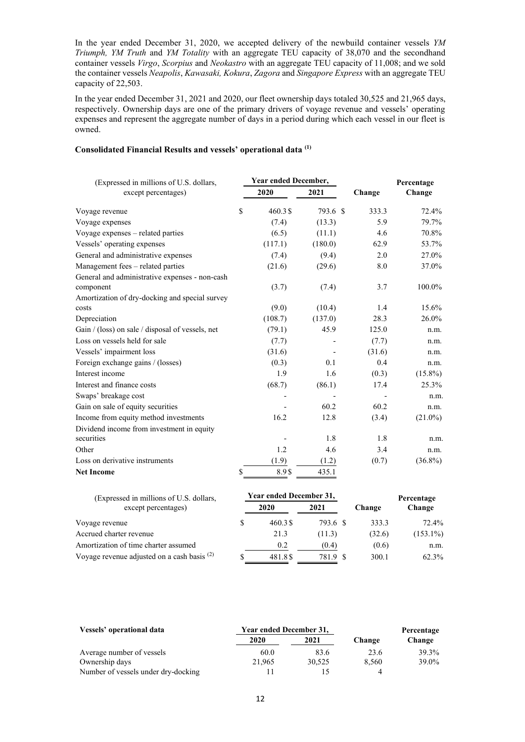In the year ended December 31, 2020, we accepted delivery of the newbuild container vessels *YM Triumph, YM Truth* and *YM Totality* with an aggregate TEU capacity of 38,070 and the secondhand container vessels *Virgo*, *Scorpius* and *Neokastro* with an aggregate TEU capacity of 11,008; and we sold the container vessels *Neapolis*, *Kawasaki, Kokura*, *Zagora* and *Singapore Express* with an aggregate TEU capacity of 22,503.

In the year ended December 31, 2021 and 2020, our fleet ownership days totaled 30,525 and 21,965 days, respectively. Ownership days are one of the primary drivers of voyage revenue and vessels' operating expenses and represent the aggregate number of days in a period during which each vessel in our fleet is owned.

# **Consolidated Financial Results and vessels' operational data (1)**

| (Expressed in millions of U.S. dollars,          |    | Year ended December, |          | Percentage |            |  |
|--------------------------------------------------|----|----------------------|----------|------------|------------|--|
| except percentages)                              |    | 2020                 | 2021     | Change     | Change     |  |
| Voyage revenue                                   | \$ | 460.3\$              | 793.6 \$ | 333.3      | 72.4%      |  |
| Voyage expenses                                  |    | (7.4)                | (13.3)   | 5.9        | 79.7%      |  |
| Voyage expenses – related parties                |    | (6.5)                | (11.1)   | 4.6        | 70.8%      |  |
| Vessels' operating expenses                      |    | (117.1)              | (180.0)  | 62.9       | 53.7%      |  |
| General and administrative expenses              |    | (7.4)                | (9.4)    | 2.0        | 27.0%      |  |
| Management fees - related parties                |    | (21.6)               | (29.6)   | 8.0        | 37.0%      |  |
| General and administrative expenses - non-cash   |    |                      |          |            |            |  |
| component                                        |    | (3.7)                | (7.4)    | 3.7        | 100.0%     |  |
| Amortization of dry-docking and special survey   |    |                      |          |            |            |  |
| costs                                            |    | (9.0)                | (10.4)   | 1.4        | 15.6%      |  |
| Depreciation                                     |    | (108.7)              | (137.0)  | 28.3       | 26.0%      |  |
| Gain / (loss) on sale / disposal of vessels, net |    | (79.1)               | 45.9     | 125.0      | n.m.       |  |
| Loss on vessels held for sale                    |    | (7.7)                |          | (7.7)      | n.m.       |  |
| Vessels' impairment loss                         |    | (31.6)               |          | (31.6)     | n.m.       |  |
| Foreign exchange gains / (losses)                |    | (0.3)                | 0.1      | 0.4        | n.m.       |  |
| Interest income                                  |    | 1.9                  | 1.6      | (0.3)      | $(15.8\%)$ |  |
| Interest and finance costs                       |    | (68.7)               | (86.1)   | 17.4       | 25.3%      |  |
| Swaps' breakage cost                             |    |                      |          |            | n.m.       |  |
| Gain on sale of equity securities                |    |                      | 60.2     | 60.2       | n.m.       |  |
| Income from equity method investments            |    | 16.2                 | 12.8     | (3.4)      | $(21.0\%)$ |  |
| Dividend income from investment in equity        |    |                      |          |            |            |  |
| securities                                       |    |                      | 1.8      | 1.8        | n.m.       |  |
| Other                                            |    | 1.2                  | 4.6      | 3.4        | n.m.       |  |
| Loss on derivative instruments                   |    | (1.9)                | (1.2)    | (0.7)      | $(36.8\%)$ |  |
| <b>Net Income</b>                                | \$ | 8.9\$                | 435.1    |            |            |  |
|                                                  |    |                      |          |            |            |  |

| (Expressed in millions of U.S. dollars,       |   | Year ended December 31, |          |        | Percentage  |
|-----------------------------------------------|---|-------------------------|----------|--------|-------------|
| except percentages)                           |   | 2020                    | 2021     | Change | Change      |
| Voyage revenue                                | S | 460.3\$                 | 793.6 \$ | 333.3  | 72.4%       |
| Accrued charter revenue                       |   | 21.3                    | (11.3)   | (32.6) | $(153.1\%)$ |
| Amortization of time charter assumed          |   | 0.2                     | (0.4)    | (0.6)  | n.m.        |
| Voyage revenue adjusted on a cash basis $(2)$ |   | 481.8\$                 | 781.9 \$ | 300.1  | 62.3%       |

| Vessels' operational data           | Year ended December 31, |        | Percentage |        |  |
|-------------------------------------|-------------------------|--------|------------|--------|--|
|                                     | 2020                    | 2021   | Change     | Change |  |
| Average number of vessels           | 60.0                    | 83.6   | 23.6       | 39.3%  |  |
| Ownership days                      | 21.965                  | 30.525 | 8.560      | 39.0%  |  |
| Number of vessels under dry-docking |                         |        |            |        |  |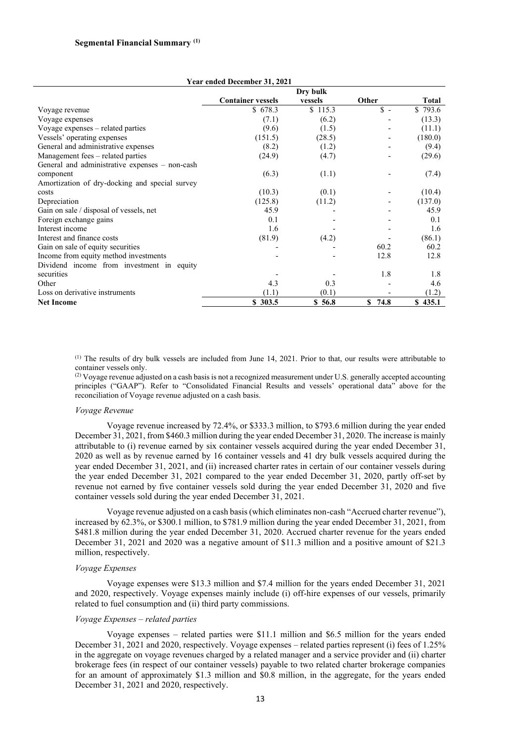|                                                | <b>Container vessels</b> | Dry bulk<br>vessels | Other      | Total   |
|------------------------------------------------|--------------------------|---------------------|------------|---------|
| Voyage revenue                                 | \$678.3                  | \$115.3             | $S -$      | \$793.6 |
| Voyage expenses                                | (7.1)                    | (6.2)               |            | (13.3)  |
| Voyage expenses – related parties              | (9.6)                    | (1.5)               |            | (11.1)  |
| Vessels' operating expenses                    | (151.5)                  | (28.5)              |            | (180.0) |
| General and administrative expenses            | (8.2)                    | (1.2)               |            | (9.4)   |
| Management fees – related parties              | (24.9)                   | (4.7)               |            | (29.6)  |
| General and administrative expenses - non-cash |                          |                     |            |         |
| component                                      | (6.3)                    | (1.1)               |            | (7.4)   |
| Amortization of dry-docking and special survey |                          |                     |            |         |
| costs                                          | (10.3)                   | (0.1)               |            | (10.4)  |
| Depreciation                                   | (125.8)                  | (11.2)              |            | (137.0) |
| Gain on sale / disposal of vessels, net        | 45.9                     |                     |            | 45.9    |
| Foreign exchange gains                         | 0.1                      |                     |            | 0.1     |
| Interest income                                | 1.6                      |                     |            | 1.6     |
| Interest and finance costs                     | (81.9)                   | (4.2)               |            | (86.1)  |
| Gain on sale of equity securities              |                          |                     | 60.2       | 60.2    |
| Income from equity method investments          |                          |                     | 12.8       | 12.8    |
| Dividend income from investment in equity      |                          |                     |            |         |
| securities                                     |                          |                     | 1.8        | 1.8     |
| Other                                          | 4.3                      | 0.3                 |            | 4.6     |
| Loss on derivative instruments                 | (1.1)                    | (0.1)               |            | (1.2)   |
| <b>Net Income</b>                              | \$303.5                  | \$56.8              | S.<br>74.8 | 435.1   |

**Year ended December 31, 2021**

(1) The results of dry bulk vessels are included from June 14, 2021. Prior to that, our results were attributable to container vessels only.

 $^{(2)}$  Voyage revenue adjusted on a cash basis is not a recognized measurement under U.S. generally accepted accounting principles ("GAAP"). Refer to "Consolidated Financial Results and vessels' operational data" above for the reconciliation of Voyage revenue adjusted on a cash basis.

#### *Voyage Revenue*

Voyage revenue increased by 72.4%, or \$333.3 million, to \$793.6 million during the year ended December 31, 2021, from \$460.3 million during the year ended December 31, 2020. The increase is mainly attributable to (i) revenue earned by six container vessels acquired during the year ended December 31, 2020 as well as by revenue earned by 16 container vessels and 41 dry bulk vessels acquired during the year ended December 31, 2021, and (ii) increased charter rates in certain of our container vessels during the year ended December 31, 2021 compared to the year ended December 31, 2020, partly off-set by revenue not earned by five container vessels sold during the year ended December 31, 2020 and five container vessels sold during the year ended December 31, 2021.

Voyage revenue adjusted on a cash basis (which eliminates non-cash "Accrued charter revenue"), increased by 62.3%, or \$300.1 million, to \$781.9 million during the year ended December 31, 2021, from \$481.8 million during the year ended December 31, 2020. Accrued charter revenue for the years ended December 31, 2021 and 2020 was a negative amount of \$11.3 million and a positive amount of \$21.3 million, respectively.

#### *Voyage Expenses*

Voyage expenses were \$13.3 million and \$7.4 million for the years ended December 31, 2021 and 2020, respectively. Voyage expenses mainly include (i) off-hire expenses of our vessels, primarily related to fuel consumption and (ii) third party commissions.

## *Voyage Expenses – related parties*

Voyage expenses – related parties were \$11.1 million and \$6.5 million for the years ended December 31, 2021 and 2020, respectively. Voyage expenses – related parties represent (i) fees of 1.25% in the aggregate on voyage revenues charged by a related manager and a service provider and (ii) charter brokerage fees (in respect of our container vessels) payable to two related charter brokerage companies for an amount of approximately \$1.3 million and \$0.8 million, in the aggregate, for the years ended December 31, 2021 and 2020, respectively.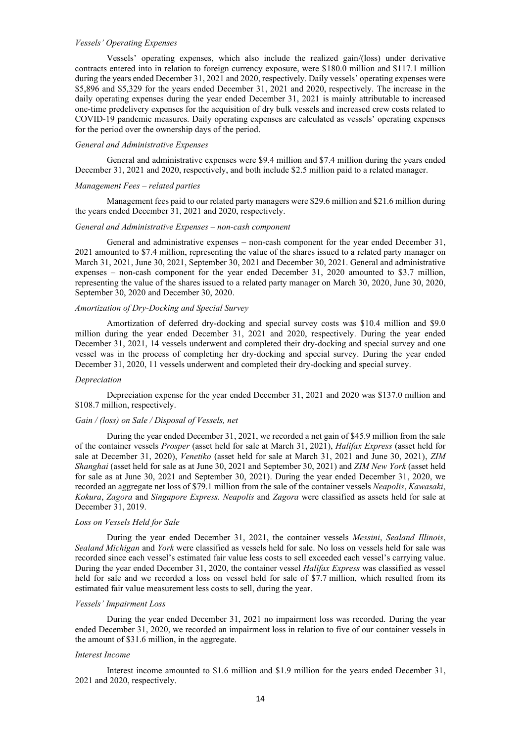# *Vessels' Operating Expenses*

Vessels' operating expenses, which also include the realized gain/(loss) under derivative contracts entered into in relation to foreign currency exposure, were \$180.0 million and \$117.1 million during the years ended December 31, 2021 and 2020, respectively. Daily vessels' operating expenses were \$5,896 and \$5,329 for the years ended December 31, 2021 and 2020, respectively. The increase in the daily operating expenses during the year ended December 31, 2021 is mainly attributable to increased one-time predelivery expenses for the acquisition of dry bulk vessels and increased crew costs related to COVID-19 pandemic measures. Daily operating expenses are calculated as vessels' operating expenses for the period over the ownership days of the period.

#### *General and Administrative Expenses*

General and administrative expenses were \$9.4 million and \$7.4 million during the years ended December 31, 2021 and 2020, respectively, and both include \$2.5 million paid to a related manager.

#### *Management Fees – related parties*

Management fees paid to our related party managers were \$29.6 million and \$21.6 million during the years ended December 31, 2021 and 2020, respectively.

## *General and Administrative Expenses – non-cash component*

General and administrative expenses – non-cash component for the year ended December 31, 2021 amounted to \$7.4 million, representing the value of the shares issued to a related party manager on March 31, 2021, June 30, 2021, September 30, 2021 and December 30, 2021. General and administrative expenses – non-cash component for the year ended December 31, 2020 amounted to \$3.7 million, representing the value of the shares issued to a related party manager on March 30, 2020, June 30, 2020, September 30, 2020 and December 30, 2020.

### *Amortization of Dry-Docking and Special Survey*

Amortization of deferred dry-docking and special survey costs was \$10.4 million and \$9.0 million during the year ended December 31, 2021 and 2020, respectively. During the year ended December 31, 2021, 14 vessels underwent and completed their dry-docking and special survey and one vessel was in the process of completing her dry-docking and special survey. During the year ended December 31, 2020, 11 vessels underwent and completed their dry-docking and special survey.

#### *Depreciation*

Depreciation expense for the year ended December 31, 2021 and 2020 was \$137.0 million and \$108.7 million, respectively.

# *Gain / (loss) on Sale / Disposal of Vessels, net*

During the year ended December 31, 2021, we recorded a net gain of \$45.9 million from the sale of the container vessels *Prosper* (asset held for sale at March 31, 2021), *Halifax Express* (asset held for sale at December 31, 2020), *Venetiko* (asset held for sale at March 31, 2021 and June 30, 2021), *ZIM Shanghai* (asset held for sale as at June 30, 2021 and September 30, 2021) and *ZIM New York* (asset held for sale as at June 30, 2021 and September 30, 2021). During the year ended December 31, 2020, we recorded an aggregate net loss of \$79.1 million from the sale of the container vessels *Neapolis*, *Kawasaki*, *Kokura*, *Zagora* and *Singapore Express. Neapolis* and *Zagora* were classified as assets held for sale at December 31, 2019.

#### *Loss on Vessels Held for Sale*

During the year ended December 31, 2021, the container vessels *Messini*, *Sealand Illinois*, *Sealand Michigan* and *York* were classified as vessels held for sale. No loss on vessels held for sale was recorded since each vessel's estimated fair value less costs to sell exceeded each vessel's carrying value. During the year ended December 31, 2020, the container vessel *Halifax Express* was classified as vessel held for sale and we recorded a loss on vessel held for sale of \$7.7 million, which resulted from its estimated fair value measurement less costs to sell, during the year.

# *Vessels' Impairment Loss*

During the year ended December 31, 2021 no impairment loss was recorded. During the year ended December 31, 2020, we recorded an impairment loss in relation to five of our container vessels in the amount of \$31.6 million, in the aggregate.

### *Interest Income*

Interest income amounted to \$1.6 million and \$1.9 million for the years ended December 31, 2021 and 2020, respectively.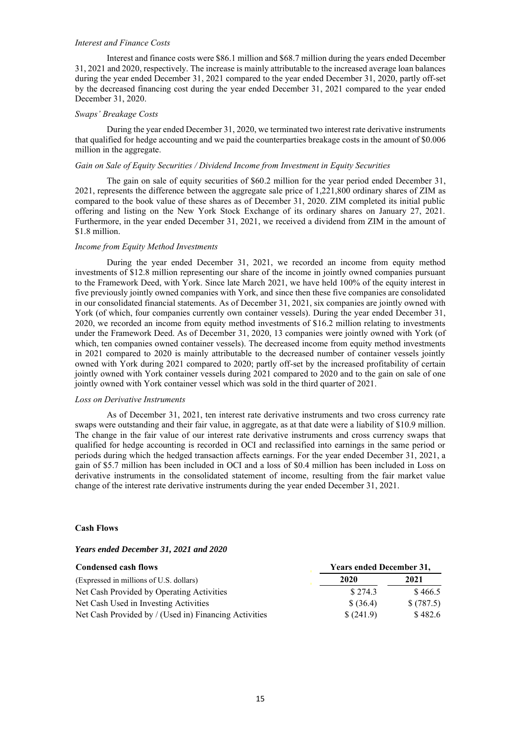## *Interest and Finance Costs*

Interest and finance costs were \$86.1 million and \$68.7 million during the years ended December 31, 2021 and 2020, respectively. The increase is mainly attributable to the increased average loan balances during the year ended December 31, 2021 compared to the year ended December 31, 2020, partly off-set by the decreased financing cost during the year ended December 31, 2021 compared to the year ended December 31, 2020.

# *Swaps' Breakage Costs*

During the year ended December 31, 2020, we terminated two interest rate derivative instruments that qualified for hedge accounting and we paid the counterparties breakage costs in the amount of \$0.006 million in the aggregate.

#### *Gain on Sale of Equity Securities / Dividend Income from Investment in Equity Securities*

The gain on sale of equity securities of \$60.2 million for the year period ended December 31, 2021, represents the difference between the aggregate sale price of 1,221,800 ordinary shares of ZIM as compared to the book value of these shares as of December 31, 2020. ZIM completed its initial public offering and listing on the New York Stock Exchange of its ordinary shares on January 27, 2021. Furthermore, in the year ended December 31, 2021, we received a dividend from ZIM in the amount of \$1.8 million.

## *Income from Equity Method Investments*

During the year ended December 31, 2021, we recorded an income from equity method investments of \$12.8 million representing our share of the income in jointly owned companies pursuant to the Framework Deed, with York. Since late March 2021, we have held 100% of the equity interest in five previously jointly owned companies with York, and since then these five companies are consolidated in our consolidated financial statements. As of December 31, 2021, six companies are jointly owned with York (of which, four companies currently own container vessels). During the year ended December 31, 2020, we recorded an income from equity method investments of \$16.2 million relating to investments under the Framework Deed. As of December 31, 2020, 13 companies were jointly owned with York (of which, ten companies owned container vessels). The decreased income from equity method investments in 2021 compared to 2020 is mainly attributable to the decreased number of container vessels jointly owned with York during 2021 compared to 2020; partly off-set by the increased profitability of certain jointly owned with York container vessels during 2021 compared to 2020 and to the gain on sale of one jointly owned with York container vessel which was sold in the third quarter of 2021.

#### *Loss on Derivative Instruments*

As of December 31, 2021, ten interest rate derivative instruments and two cross currency rate swaps were outstanding and their fair value, in aggregate, as at that date were a liability of \$10.9 million. The change in the fair value of our interest rate derivative instruments and cross currency swaps that qualified for hedge accounting is recorded in OCI and reclassified into earnings in the same period or periods during which the hedged transaction affects earnings. For the year ended December 31, 2021, a gain of \$5.7 million has been included in OCI and a loss of \$0.4 million has been included in Loss on derivative instruments in the consolidated statement of income, resulting from the fair market value change of the interest rate derivative instruments during the year ended December 31, 2021.

# **Cash Flows**

## *Years ended December 31, 2021 and 2020*

| <b>Condensed cash flows</b>                           | <b>Years ended December 31,</b> |           |  |  |
|-------------------------------------------------------|---------------------------------|-----------|--|--|
| (Expressed in millions of U.S. dollars)               | 2020                            | 2021      |  |  |
| Net Cash Provided by Operating Activities             | \$274.3                         | \$466.5   |  |  |
| Net Cash Used in Investing Activities                 | \$ (36.4)                       | \$(787.5) |  |  |
| Net Cash Provided by / (Used in) Financing Activities | \$(241.9)                       | \$482.6   |  |  |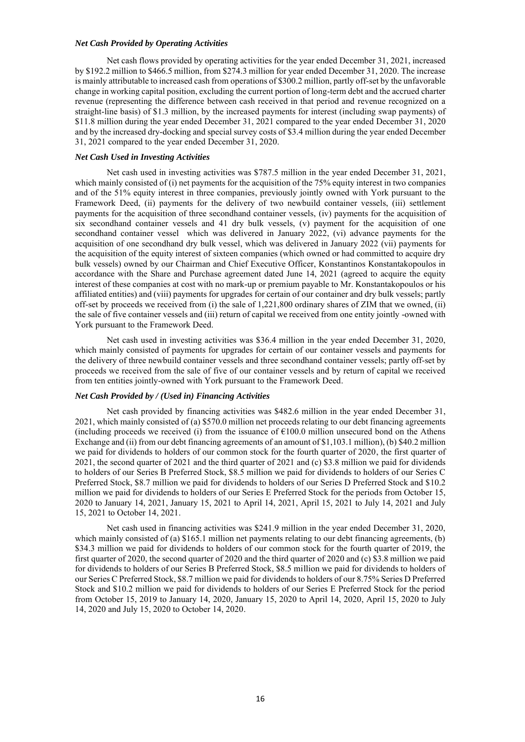# *Net Cash Provided by Operating Activities*

Net cash flows provided by operating activities for the year ended December 31, 2021, increased by \$192.2 million to \$466.5 million, from \$274.3 million for year ended December 31, 2020. The increase is mainly attributable to increased cash from operations of \$300.2 million, partly off-set by the unfavorable change in working capital position, excluding the current portion of long-term debt and the accrued charter revenue (representing the difference between cash received in that period and revenue recognized on a straight-line basis) of \$1.3 million, by the increased payments for interest (including swap payments) of \$11.8 million during the year ended December 31, 2021 compared to the year ended December 31, 2020 and by the increased dry-docking and special survey costs of \$3.4 million during the year ended December 31, 2021 compared to the year ended December 31, 2020.

### *Net Cash Used in Investing Activities*

Net cash used in investing activities was \$787.5 million in the year ended December 31, 2021, which mainly consisted of (i) net payments for the acquisition of the 75% equity interest in two companies and of the 51% equity interest in three companies, previously jointly owned with York pursuant to the Framework Deed, (ii) payments for the delivery of two newbuild container vessels, (iii) settlement payments for the acquisition of three secondhand container vessels, (iv) payments for the acquisition of six secondhand container vessels and 41 dry bulk vessels, (v) payment for the acquisition of one secondhand container vessel which was delivered in January 2022, (vi) advance payments for the acquisition of one secondhand dry bulk vessel, which was delivered in January 2022 (vii) payments for the acquisition of the equity interest of sixteen companies (which owned or had committed to acquire dry bulk vessels) owned by our Chairman and Chief Executive Officer, Konstantinos Konstantakopoulos in accordance with the Share and Purchase agreement dated June 14, 2021 (agreed to acquire the equity interest of these companies at cost with no mark-up or premium payable to Mr. Konstantakopoulos or his affiliated entities) and (viii) payments for upgrades for certain of our container and dry bulk vessels; partly off-set by proceeds we received from (i) the sale of 1,221,800 ordinary shares of ZIM that we owned, (ii) the sale of five container vessels and (iii) return of capital we received from one entity jointly -owned with York pursuant to the Framework Deed.

Net cash used in investing activities was \$36.4 million in the year ended December 31, 2020, which mainly consisted of payments for upgrades for certain of our container vessels and payments for the delivery of three newbuild container vessels and three secondhand container vessels; partly off-set by proceeds we received from the sale of five of our container vessels and by return of capital we received from ten entities jointly-owned with York pursuant to the Framework Deed.

#### *Net Cash Provided by / (Used in) Financing Activities*

Net cash provided by financing activities was \$482.6 million in the year ended December 31, 2021, which mainly consisted of (a) \$570.0 million net proceeds relating to our debt financing agreements (including proceeds we received (i) from the issuance of  $E100.0$  million unsecured bond on the Athens Exchange and (ii) from our debt financing agreements of an amount of \$1,103.1 million), (b) \$40.2 million we paid for dividends to holders of our common stock for the fourth quarter of 2020, the first quarter of 2021, the second quarter of 2021 and the third quarter of 2021 and (c) \$3.8 million we paid for dividends to holders of our Series B Preferred Stock, \$8.5 million we paid for dividends to holders of our Series C Preferred Stock, \$8.7 million we paid for dividends to holders of our Series D Preferred Stock and \$10.2 million we paid for dividends to holders of our Series E Preferred Stock for the periods from October 15, 2020 to January 14, 2021, January 15, 2021 to April 14, 2021, April 15, 2021 to July 14, 2021 and July 15, 2021 to October 14, 2021.

Net cash used in financing activities was \$241.9 million in the year ended December 31, 2020, which mainly consisted of (a) \$165.1 million net payments relating to our debt financing agreements, (b) \$34.3 million we paid for dividends to holders of our common stock for the fourth quarter of 2019, the first quarter of 2020, the second quarter of 2020 and the third quarter of 2020 and (c) \$3.8 million we paid for dividends to holders of our Series B Preferred Stock, \$8.5 million we paid for dividends to holders of our Series C Preferred Stock, \$8.7 million we paid for dividends to holders of our 8.75% Series D Preferred Stock and \$10.2 million we paid for dividends to holders of our Series E Preferred Stock for the period from October 15, 2019 to January 14, 2020, January 15, 2020 to April 14, 2020, April 15, 2020 to July 14, 2020 and July 15, 2020 to October 14, 2020.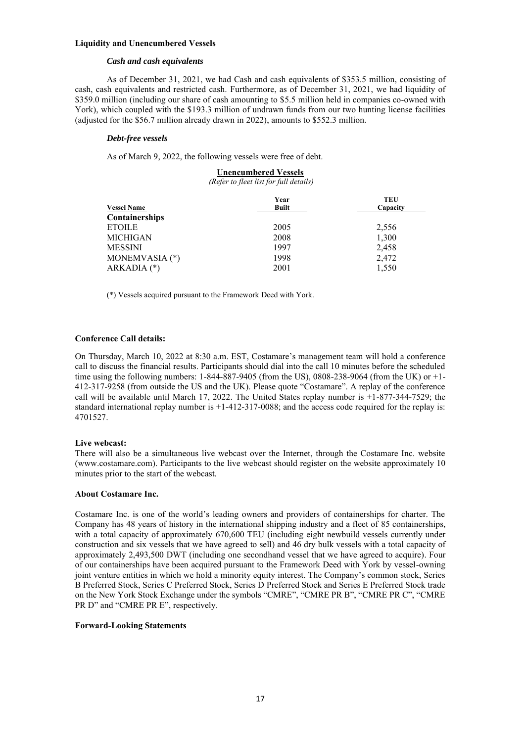# **Liquidity and Unencumbered Vessels**

## *Cash and cash equivalents*

As of December 31, 2021, we had Cash and cash equivalents of \$353.5 million, consisting of cash, cash equivalents and restricted cash. Furthermore, as of December 31, 2021, we had liquidity of \$359.0 million (including our share of cash amounting to \$5.5 million held in companies co-owned with York), which coupled with the \$193.3 million of undrawn funds from our two hunting license facilities (adjusted for the \$56.7 million already drawn in 2022), amounts to \$552.3 million.

# *Debt-free vessels*

As of March 9, 2022, the following vessels were free of debt.

# **Unencumbered Vessels**

*(Refer to fleet list for full details)*

|                    | Year         | TEU      |
|--------------------|--------------|----------|
| <b>Vessel Name</b> | <b>Built</b> | Capacity |
| Containerships     |              |          |
| <b>ETOILE</b>      | 2005         | 2,556    |
| <b>MICHIGAN</b>    | 2008         | 1,300    |
| <b>MESSINI</b>     | 1997         | 2,458    |
| MONEMVASIA (*)     | 1998         | 2,472    |
| ARKADIA (*)        | 2001         | 1,550    |

(\*) Vessels acquired pursuant to the Framework Deed with York.

# **Conference Call details:**

On Thursday, March 10, 2022 at 8:30 a.m. EST, Costamare's management team will hold a conference call to discuss the financial results. Participants should dial into the call 10 minutes before the scheduled time using the following numbers:  $1-844-887-9405$  (from the US), 0808-238-9064 (from the UK) or  $+1$ -412-317-9258 (from outside the US and the UK). Please quote "Costamare". A replay of the conference call will be available until March 17, 2022. The United States replay number is +1-877-344-7529; the standard international replay number is +1-412-317-0088; and the access code required for the replay is: 4701527.

## **Live webcast:**

There will also be a simultaneous live webcast over the Internet, through the Costamare Inc. website (www.costamare.com). Participants to the live webcast should register on the website approximately 10 minutes prior to the start of the webcast.

## **About Costamare Inc.**

Costamare Inc. is one of the world's leading owners and providers of containerships for charter. The Company has 48 years of history in the international shipping industry and a fleet of 85 containerships, with a total capacity of approximately 670,600 TEU (including eight newbuild vessels currently under construction and six vessels that we have agreed to sell) and 46 dry bulk vessels with a total capacity of approximately 2,493,500 DWT (including one secondhand vessel that we have agreed to acquire). Four of our containerships have been acquired pursuant to the Framework Deed with York by vessel-owning joint venture entities in which we hold a minority equity interest. The Company's common stock, Series B Preferred Stock, Series C Preferred Stock, Series D Preferred Stock and Series E Preferred Stock trade on the New York Stock Exchange under the symbols "CMRE", "CMRE PR B", "CMRE PR C", "CMRE PR D" and "CMRE PR E", respectively.

## **Forward-Looking Statements**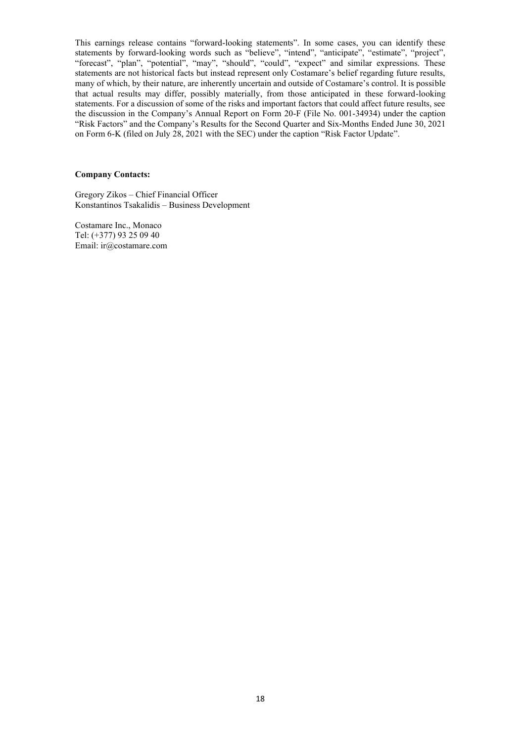This earnings release contains "forward-looking statements". In some cases, you can identify these statements by forward-looking words such as "believe", "intend", "anticipate", "estimate", "project", "forecast", "plan", "potential", "may", "should", "could", "expect" and similar expressions. These statements are not historical facts but instead represent only Costamare's belief regarding future results, many of which, by their nature, are inherently uncertain and outside of Costamare's control. It is possible that actual results may differ, possibly materially, from those anticipated in these forward-looking statements. For a discussion of some of the risks and important factors that could affect future results, see the discussion in the Company's Annual Report on Form 20-F (File No. 001-34934) under the caption "Risk Factors" and the Company's Results for the Second Quarter and Six-Months Ended June 30, 2021 on Form 6-K (filed on July 28, 2021 with the SEC) under the caption "Risk Factor Update".

#### **Company Contacts:**

Gregory Zikos – Chief Financial Officer Konstantinos Tsakalidis – Business Development

Costamare Inc., Monaco Tel: (+377) 93 25 09 40 Email: ir@costamare.com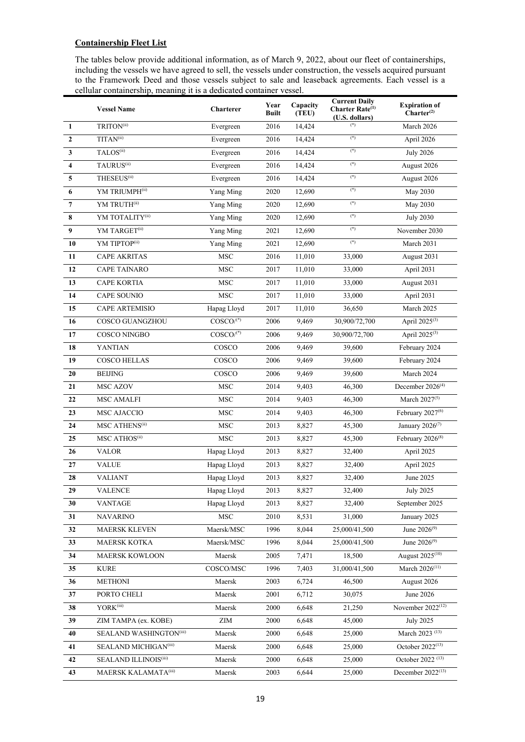# **Containership Fleet List**

The tables below provide additional information, as of March 9, 2022, about our fleet of containerships, including the vessels we have agreed to sell, the vessels under construction, the vessels acquired pursuant to the Framework Deed and those vessels subject to sale and leaseback agreements. Each vessel is a cellular containership, meaning it is a dedicated container vessel.

|                         | <b>Vessel Name</b>           | Charterer               | Year<br><b>Built</b> | Capacity<br>(TEU) | <b>Current Daily</b><br>Charter Rate <sup>(1)</sup><br>(U.S. dollars) | <b>Expiration of</b><br>Charter <sup>(2)</sup> |
|-------------------------|------------------------------|-------------------------|----------------------|-------------------|-----------------------------------------------------------------------|------------------------------------------------|
| $\mathbf{1}$            | TRITON <sup>(ii)</sup>       | Evergreen               | 2016                 | 14,424            | $(*)$                                                                 | March 2026                                     |
| $\mathbf{2}$            | TITAN <sup>(ii)</sup>        | Evergreen               | 2016                 | 14,424            | $(\mathbf{^*})$                                                       | April 2026                                     |
| 3                       | TALOS <sup>(ii)</sup>        | Evergreen               | 2016                 | 14,424            | $(*)$                                                                 | <b>July 2026</b>                               |
| $\overline{\mathbf{4}}$ | TAURUS <sup>(ii)</sup>       | Evergreen               | 2016                 | 14,424            | $(*)$                                                                 | August 2026                                    |
| 5                       | THESEUS <sup>(ii)</sup>      | Evergreen               | 2016                 | 14,424            | $(*)$                                                                 | August 2026                                    |
| 6                       | YM TRIUMPH <sup>(ii)</sup>   | Yang Ming               | 2020                 | 12,690            | $(*)$                                                                 | May 2030                                       |
| $\overline{7}$          | YM TRUTH(ii)                 | Yang Ming               | 2020                 | 12,690            | $(*)$                                                                 | May 2030                                       |
| 8                       | YM TOTALITY(ii)              | Yang Ming               | 2020                 | 12,690            | $(\mathbf{^*)}$                                                       | <b>July 2030</b>                               |
| 9                       | YM TARGET <sup>(ii)</sup>    | Yang Ming               | 2021                 | 12,690            | $(\mathbf{^*})$                                                       | November 2030                                  |
| 10                      | YM TIPTOP <sup>(ii)</sup>    | Yang Ming               | 2021                 | 12,690            | $(*)$                                                                 | March 2031                                     |
| 11                      | <b>CAPE AKRITAS</b>          | <b>MSC</b>              | 2016                 | 11,010            | 33,000                                                                | August 2031                                    |
| 12                      | <b>CAPE TAINARO</b>          | <b>MSC</b>              | 2017                 | 11,010            | 33,000                                                                | April 2031                                     |
| 13                      | <b>CAPE KORTIA</b>           | <b>MSC</b>              | 2017                 | 11,010            | 33,000                                                                | August 2031                                    |
| 14                      | <b>CAPE SOUNIO</b>           | <b>MSC</b>              | 2017                 | 11,010            | 33,000                                                                | April 2031                                     |
| 15                      | CAPE ARTEMISIO               | Hapag Lloyd             | 2017                 | 11,010            | 36,650                                                                | March 2025                                     |
| 16                      | COSCO GUANGZHOU              | $COSCO/$ <sup>(*)</sup> | 2006                 | 9,469             | 30,900/72,700                                                         | April 2025 <sup>(3)</sup>                      |
| 17                      | $\rm COSCO$ NINGBO           | $COSCO/$ <sup>(*)</sup> | 2006                 | 9,469             | 30,900/72,700                                                         | April 2025 <sup>(3)</sup>                      |
| 18                      | <b>YANTIAN</b>               | COSCO                   | 2006                 | 9,469             | 39,600                                                                | February 2024                                  |
| 19                      | <b>COSCO HELLAS</b>          | COSCO                   | 2006                 | 9,469             | 39,600                                                                | February 2024                                  |
| 20                      | <b>BEIJING</b>               | COSCO                   | 2006                 | 9,469             | 39,600                                                                | March 2024                                     |
| 21                      | <b>MSC AZOV</b>              | <b>MSC</b>              | 2014                 | 9,403             | 46,300                                                                | December $2026(4)$                             |
| 22                      | <b>MSC AMALFI</b>            | <b>MSC</b>              | 2014                 | 9,403             | 46,300                                                                | March $2027^{(5)}$                             |
| 23                      | MSC AJACCIO                  | <b>MSC</b>              | 2014                 | 9,403             | 46,300                                                                | February 2027 <sup>(6)</sup>                   |
| 24                      | MSC ATHENS <sup>(ii)</sup>   | <b>MSC</b>              | 2013                 | 8,827             | 45,300                                                                | January 2026 <sup>(7)</sup>                    |
| 25                      | MSC ATHOS <sup>(ii)</sup>    | <b>MSC</b>              | 2013                 | 8,827             | 45,300                                                                | February 2026 <sup>(8)</sup>                   |
| 26                      | <b>VALOR</b>                 | Hapag Lloyd             | 2013                 | 8,827             | 32,400                                                                | April 2025                                     |
| 27                      | <b>VALUE</b>                 | Hapag Lloyd             | 2013                 | 8,827             | 32,400                                                                | April 2025                                     |
| 28                      | <b>VALIANT</b>               | Hapag Lloyd             | 2013                 | 8,827             | 32,400                                                                | June 2025                                      |
| 29                      | <b>VALENCE</b>               | Hapag Lloyd             | 2013                 | 8,827             | 32,400                                                                | <b>July 2025</b>                               |
| 30                      | VANTAGE                      | Hapag Lloyd             | 2013                 | 8,827             | 32,400                                                                | September 2025                                 |
| 31                      | <b>NAVARINO</b>              | MSC                     | 2010                 | 8,531             | 31,000                                                                | January 2025                                   |
| 32                      | <b>MAERSK KLEVEN</b>         | Maersk/MSC              | 1996                 | 8,044             | 25,000/41,500                                                         | June 2026 <sup>(9)</sup>                       |
| 33                      | <b>MAERSK KOTKA</b>          | Maersk/MSC              | 1996                 | 8,044             | 25,000/41,500                                                         | June $2026^{(9)}$                              |
| 34                      | MAERSK KOWLOON               | Maersk                  | 2005                 | 7,471             | 18,500                                                                | August 2025 <sup>(10)</sup>                    |
| 35                      | <b>KURE</b>                  | COSCO/MSC               | 1996                 | 7,403             | 31,000/41,500                                                         | March 2026 <sup>(11)</sup>                     |
| 36                      | <b>METHONI</b>               | Maersk                  | 2003                 | 6,724             | 46,500                                                                | August 2026                                    |
| 37                      | PORTO CHELI                  | Maersk                  | 2001                 | 6,712             | 30,075                                                                | June 2026                                      |
| 38                      | YORK <sup>(iii)</sup>        | Maersk                  | 2000                 | 6,648             | 21,250                                                                | November 2022 <sup>(12)</sup>                  |
| 39                      | ZIM TAMPA (ex. KOBE)         | ZIM                     | 2000                 | 6,648             | 45,000                                                                | <b>July 2025</b>                               |
| 40                      | SEALAND WASHINGTON(iii)      | Maersk                  | 2000                 | 6,648             | 25,000                                                                | March 2023 <sup>(13)</sup>                     |
| 41                      | SEALAND MICHIGAN(iii)        | Maersk                  | 2000                 | 6,648             | 25,000                                                                | October 2022 <sup>(13)</sup>                   |
| 42                      | <b>SEALAND ILLINOIS(iii)</b> | Maersk                  | 2000                 | 6,648             | 25,000                                                                | October 2022 <sup>(13)</sup>                   |
| 43                      | MAERSK KALAMATA(iii)         | Maersk                  | 2003                 | 6,644             | 25,000                                                                | December 2022 <sup>(13)</sup>                  |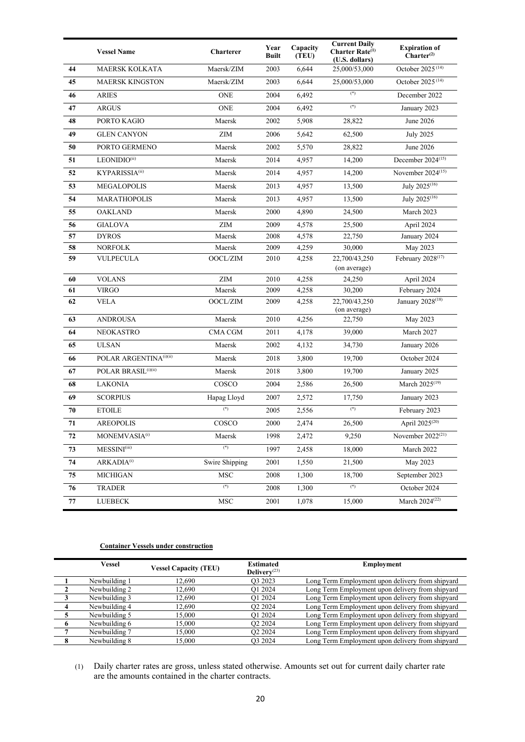|    | <b>Vessel Name</b>        | Charterer      | Year<br><b>Built</b> | Capacity<br>(TEU) | <b>Current Daily</b><br>Charter Rate <sup>(1)</sup><br>(U.S. dollars) | <b>Expiration of</b><br>Charter <sup>(2)</sup> |
|----|---------------------------|----------------|----------------------|-------------------|-----------------------------------------------------------------------|------------------------------------------------|
| 44 | <b>MAERSK KOLKATA</b>     | Maersk/ZIM     | 2003                 | 6,644             | 25,000/53,000                                                         | October 2025 <sup>(14)</sup>                   |
| 45 | <b>MAERSK KINGSTON</b>    | Maersk/ZIM     | 2003                 | 6,644             | 25,000/53,000                                                         | October 2025 <sup>(14)</sup>                   |
| 46 | <b>ARIES</b>              | <b>ONE</b>     | 2004                 | 6,492             | $(*)$                                                                 | December 2022                                  |
| 47 | <b>ARGUS</b>              | <b>ONE</b>     | 2004                 | 6,492             | $(*)$                                                                 | January 2023                                   |
| 48 | PORTO KAGIO               | Maersk         | 2002                 | 5,908             | 28,822                                                                | June 2026                                      |
| 49 | <b>GLEN CANYON</b>        | ZIM            | 2006                 | 5,642             | 62,500                                                                | <b>July 2025</b>                               |
| 50 | PORTO GERMENO             | Maersk         | 2002                 | 5,570             | 28,822                                                                | June 2026                                      |
| 51 | LEONIDIO(ii)              | Maersk         | 2014                 | 4,957             | 14,200                                                                | December 2024 <sup>(15)</sup>                  |
| 52 | KYPARISSIA(ii)            | Maersk         | 2014                 | 4,957             | 14,200                                                                | November $2024^{(15)}$                         |
| 53 | <b>MEGALOPOLIS</b>        | Maersk         | 2013                 | 4,957             | 13,500                                                                | July 2025 <sup>(16)</sup>                      |
| 54 | <b>MARATHOPOLIS</b>       | Maersk         | 2013                 | 4,957             | 13,500                                                                | July 2025 <sup>(16)</sup>                      |
| 55 | <b>OAKLAND</b>            | Maersk         | 2000                 | 4,890             | 24,500                                                                | March 2023                                     |
| 56 | <b>GIALOVA</b>            | ZIM            | 2009                 | 4,578<br>25,500   |                                                                       | April 2024                                     |
| 57 | <b>DYROS</b>              | Maersk         | 2008                 | 4,578             | 22,750                                                                | January 2024                                   |
| 58 | <b>NORFOLK</b>            | Maersk         | 2009                 | 4,259             | 30,000                                                                | May 2023                                       |
| 59 | <b>VULPECULA</b>          | OOCL/ZIM       | 2010                 | 4,258             | 22,700/43,250<br>(on average)                                         | February 2028 <sup>(17)</sup>                  |
| 60 | <b>VOLANS</b>             | ZIM            | 2010                 | 4,258             | 24.250                                                                | April 2024                                     |
| 61 | <b>VIRGO</b>              | Maersk         | 2009                 | 4,258             | 30,200                                                                | February 2024                                  |
| 62 | <b>VELA</b>               | OOCL/ZIM       | 2009                 | 4,258             | 22,700/43,250<br>(on average)                                         | January 2028 <sup>(18)</sup>                   |
| 63 | <b>ANDROUSA</b>           | Maersk         | 2010                 | 4,256             | 22,750                                                                | May 2023                                       |
| 64 | <b>NEOKASTRO</b>          | <b>CMA CGM</b> | 2011                 | 4,178             | 39,000                                                                | March 2027                                     |
| 65 | <b>ULSAN</b>              | Maersk         | 2002                 | 4,132             | 34,730                                                                | January 2026                                   |
| 66 | POLAR ARGENTINA(i)(ii)    | Maersk         | 2018                 | 3,800             | 19,700                                                                | October 2024                                   |
| 67 | POLAR BRASIL(i)(ii)       | Maersk         | 2018                 | 3,800             | 19,700                                                                | January 2025                                   |
| 68 | <b>LAKONIA</b>            | COSCO          | 2004                 | 2,586             | 26,500                                                                | March 2025 <sup>(19)</sup>                     |
| 69 | <b>SCORPIUS</b>           | Hapag Lloyd    | 2007                 | 2,572             | 17,750                                                                | January 2023                                   |
| 70 | <b>ETOILE</b>             | $(*)$          | 2005                 | 2,556             | $(^{*})$                                                              | February 2023                                  |
| 71 | <b>AREOPOLIS</b>          | COSCO          | 2000                 | 2,474             | 26,500                                                                | April 2025 <sup>(20)</sup>                     |
| 72 | MONEMVASIA <sup>(1)</sup> | Maersk         | 1998                 | 2,472             | 9,250                                                                 | November $2022^{(21)}$                         |
| 73 | MESSINI(iii)              | $(*)$          | 1997                 | 2,458             | 18,000                                                                | March 2022                                     |
| 74 | ARKADIA <sup>(i)</sup>    | Swire Shipping | 2001                 | 1,550             | 21,500                                                                | May 2023                                       |
| 75 | <b>MICHIGAN</b>           | $_{\rm MSC}$   | 2008                 | 1,300             | 18,700                                                                | September 2023                                 |
| 76 | TRADER                    | $(*)$          | 2008                 | 1,300             | $\left( ^{*}\right)$                                                  | October 2024                                   |
| 77 | LUEBECK                   | <b>MSC</b>     | 2001                 | 1,078             | 15,000                                                                | March 2024 <sup>(22)</sup>                     |

# **Container Vessels under construction**

| <b>Vessel</b> | <b>Vessel Capacity (TEU)</b> | <b>Estimated</b><br>Delivery <sup><math>(23)</math></sup> | <b>Employment</b>                                |
|---------------|------------------------------|-----------------------------------------------------------|--------------------------------------------------|
| Newbuilding 1 | 12.690                       | O <sub>3</sub> 2023                                       | Long Term Employment upon delivery from shipyard |
| Newbuilding 2 | 12,690                       | O1 2024                                                   | Long Term Employment upon delivery from shipyard |
| Newbuilding 3 | 12,690                       | O1 2024                                                   | Long Term Employment upon delivery from shipyard |
| Newbuilding 4 | 12.690                       | O <sub>2</sub> 2024                                       | Long Term Employment upon delivery from shipyard |
| Newbuilding 5 | 15,000                       | O1 2024                                                   | Long Term Employment upon delivery from shipyard |
| Newbuilding 6 | 15,000                       | O <sub>2</sub> 2024                                       | Long Term Employment upon delivery from shipyard |
| Newbuilding 7 | 15.000                       | O <sub>2</sub> 2024                                       | Long Term Employment upon delivery from shipyard |
| Newbuilding 8 | 15,000                       | O <sub>3</sub> 2024                                       | Long Term Employment upon delivery from shipyard |

(1) Daily charter rates are gross, unless stated otherwise. Amounts set out for current daily charter rate are the amounts contained in the charter contracts.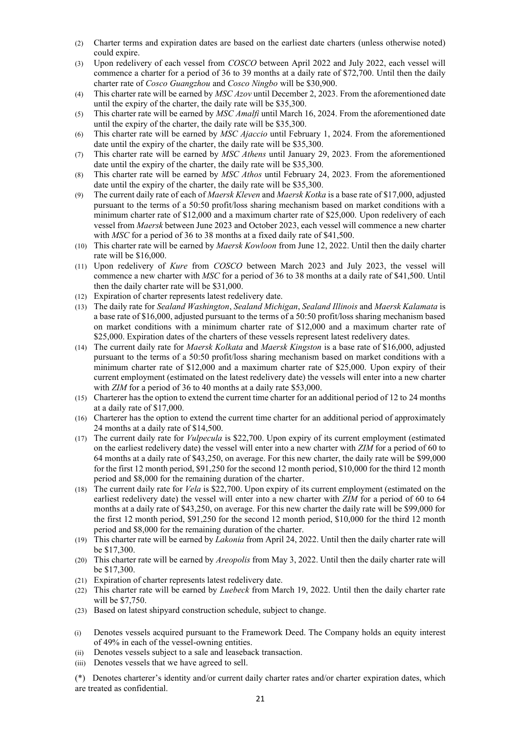- (2) Charter terms and expiration dates are based on the earliest date charters (unless otherwise noted) could expire.
- (3) Upon redelivery of each vessel from *COSCO* between April 2022 and July 2022, each vessel will commence a charter for a period of 36 to 39 months at a daily rate of \$72,700. Until then the daily charter rate of *Cosco Guangzhou* and *Cosco Ningbo* will be \$30,900.
- (4) This charter rate will be earned by *MSC Azov* until December 2, 2023. From the aforementioned date until the expiry of the charter, the daily rate will be \$35,300.
- (5) This charter rate will be earned by *MSC Amalfi* until March 16, 2024. From the aforementioned date until the expiry of the charter, the daily rate will be \$35,300.
- (6) This charter rate will be earned by *MSC Ajaccio* until February 1, 2024. From the aforementioned date until the expiry of the charter, the daily rate will be \$35,300.
- (7) This charter rate will be earned by *MSC Athens* until January 29, 2023. From the aforementioned date until the expiry of the charter, the daily rate will be \$35,300.
- (8) This charter rate will be earned by *MSC Athos* until February 24, 2023. From the aforementioned date until the expiry of the charter, the daily rate will be \$35,300.
- (9) The current daily rate of each of *Maersk Kleven* and *Maersk Kotka* is a base rate of \$17,000, adjusted pursuant to the terms of a 50:50 profit/loss sharing mechanism based on market conditions with a minimum charter rate of \$12,000 and a maximum charter rate of \$25,000. Upon redelivery of each vessel from *Maersk* between June 2023 and October 2023, each vessel will commence a new charter with *MSC* for a period of 36 to 38 months at a fixed daily rate of \$41,500.
- (10) This charter rate will be earned by *Maersk Kowloon* from June 12, 2022. Until then the daily charter rate will be \$16,000.
- (11) Upon redelivery of *Kure* from *COSCO* between March 2023 and July 2023, the vessel will commence a new charter with *MSC* for a period of 36 to 38 months at a daily rate of \$41,500. Until then the daily charter rate will be \$31,000.
- (12) Expiration of charter represents latest redelivery date.
- (13) The daily rate for *Sealand Washington*, *Sealand Michigan*, *Sealand Illinois* and *Maersk Kalamata* is a base rate of \$16,000, adjusted pursuant to the terms of a 50:50 profit/loss sharing mechanism based on market conditions with a minimum charter rate of \$12,000 and a maximum charter rate of \$25,000. Expiration dates of the charters of these vessels represent latest redelivery dates.
- (14) The current daily rate for *Maersk Kolkata* and *Maersk Kingston* is a base rate of \$16,000, adjusted pursuant to the terms of a 50:50 profit/loss sharing mechanism based on market conditions with a minimum charter rate of \$12,000 and a maximum charter rate of \$25,000. Upon expiry of their current employment (estimated on the latest redelivery date) the vessels will enter into a new charter with *ZIM* for a period of 36 to 40 months at a daily rate \$53,000.
- (15) Charterer has the option to extend the current time charter for an additional period of 12 to 24 months at a daily rate of \$17,000.
- (16) Charterer has the option to extend the current time charter for an additional period of approximately 24 months at a daily rate of \$14,500.
- (17) The current daily rate for *Vulpecula* is \$22,700. Upon expiry of its current employment (estimated on the earliest redelivery date) the vessel will enter into a new charter with *ZIM* for a period of 60 to 64 months at a daily rate of \$43,250, on average. For this new charter, the daily rate will be \$99,000 for the first 12 month period, \$91,250 for the second 12 month period, \$10,000 for the third 12 month period and \$8,000 for the remaining duration of the charter.
- (18) The current daily rate for *Vela* is \$22,700. Upon expiry of its current employment (estimated on the earliest redelivery date) the vessel will enter into a new charter with *ZIM* for a period of 60 to 64 months at a daily rate of \$43,250, on average. For this new charter the daily rate will be \$99,000 for the first 12 month period, \$91,250 for the second 12 month period, \$10,000 for the third 12 month period and \$8,000 for the remaining duration of the charter.
- (19) This charter rate will be earned by *Lakonia* from April 24, 2022. Until then the daily charter rate will be \$17,300.
- (20) This charter rate will be earned by *Areopolis* from May 3, 2022. Until then the daily charter rate will be \$17,300.
- (21) Expiration of charter represents latest redelivery date.
- (22) This charter rate will be earned by *Luebeck* from March 19, 2022. Until then the daily charter rate will be \$7,750.
- (23) Based on latest shipyard construction schedule, subject to change.
- (i) Denotes vessels acquired pursuant to the Framework Deed. The Company holds an equity interest of 49% in each of the vessel-owning entities.
- (ii) Denotes vessels subject to a sale and leaseback transaction.
- (iii) Denotes vessels that we have agreed to sell.
- (\*) Denotes charterer's identity and/or current daily charter rates and/or charter expiration dates, which are treated as confidential.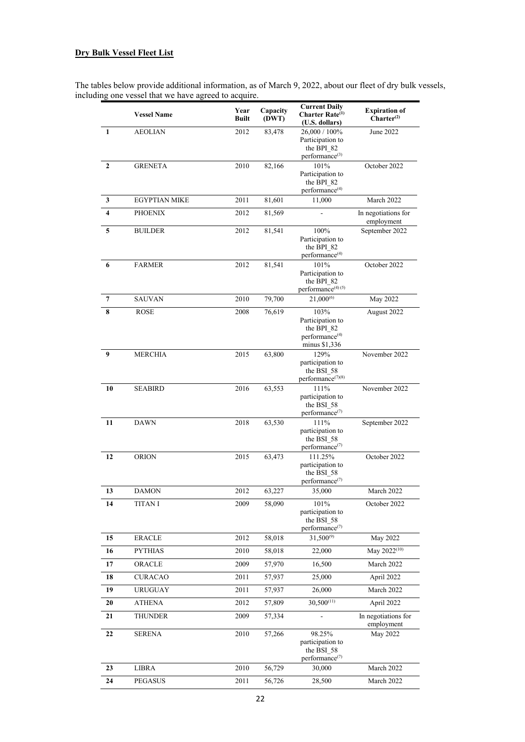# **Dry Bulk Vessel Fleet List**

The tables below provide additional information, as of March 9, 2022, about our fleet of dry bulk vessels, including one vessel that we have agreed to acquire.

|                | <b>Vessel Name</b>   | Year<br><b>Built</b> | Capacity<br>(DWT) | <b>Current Daily</b><br>Charter Rate <sup>(1)</sup><br>(U.S. dollars)                 | <b>Expiration of</b><br>Charter <sup>(2)</sup> |
|----------------|----------------------|----------------------|-------------------|---------------------------------------------------------------------------------------|------------------------------------------------|
| 1              | <b>AEOLIAN</b>       | 2012                 | 83,478            | 26,000 / 100%<br>Participation to<br>the BPI 82<br>performance <sup>(3)</sup>         | June 2022                                      |
| 2              | <b>GRENETA</b>       | 2010                 | 82,166            | 101%<br>Participation to<br>the BPI 82<br>performance <sup>(4)</sup>                  | October 2022                                   |
| 3              | <b>EGYPTIAN MIKE</b> | 2011                 | 81,601            | 11,000                                                                                | March 2022                                     |
| 4              | <b>PHOENIX</b>       | 2012                 | 81,569            |                                                                                       | In negotiations for<br>employment              |
| 5              | <b>BUILDER</b>       | 2012                 | 81,541            | 100%<br>Participation to<br>the BPI 82<br>performance <sup>(4)</sup>                  | September 2022                                 |
| 6              | <b>FARMER</b>        | 2012                 | 81,541            | 101%<br>Participation to<br>the BPI 82<br>performance <sup>(4)(5)</sup>               | October 2022                                   |
| $\overline{7}$ | <b>SAUVAN</b>        | 2010                 | 79,700            | $21,000^{(6)}$                                                                        | May 2022                                       |
| 8              | <b>ROSE</b>          | 2008                 | 76,619            | 103%<br>Participation to<br>the BPI 82<br>performance <sup>(4)</sup><br>minus \$1,336 | August 2022                                    |
| 9              | <b>MERCHIA</b>       | 2015                 | 63,800            | 129%<br>participation to<br>the BSI 58<br>$performance^{(\prime)(8)}$                 | November 2022                                  |
| 10             | <b>SEABIRD</b>       | 2016                 | 63,553            | 111%<br>participation to<br>the BSI 58<br>performance <sup>(7)</sup>                  | November 2022                                  |
| 11             | <b>DAWN</b>          | 2018                 | 63,530            | 111%<br>participation to<br>the BSI 58<br>$performance$ <sup>(7)</sup>                | September 2022                                 |
| 12             | <b>ORION</b>         | 2015                 | 63,473            | 111.25%<br>participation to<br>the BSI 58<br>performance <sup>(7)</sup>               | October 2022                                   |
| 13             | <b>DAMON</b>         | 2012                 | 63,227            | 35,000                                                                                | March 2022                                     |
| 14             | <b>TITAN I</b>       | 2009                 | 58,090            | 101%<br>participation to<br>the BSI 58<br>performance <sup>(7)</sup>                  | October 2022                                   |
| 15             | <b>ERACLE</b>        | 2012                 | 58,018            | $31,500^{(9)}$                                                                        | May 2022                                       |
| 16             | <b>PYTHIAS</b>       | 2010                 | 58,018            | 22,000                                                                                | May 2022 <sup>(10)</sup>                       |
| 17             | ORACLE               | 2009                 | 57,970            | 16,500                                                                                | March 2022                                     |
| 18             | <b>CURACAO</b>       | 2011                 | 57,937            | 25,000                                                                                | April 2022                                     |
| 19             | <b>URUGUAY</b>       | 2011                 | 57,937            | 26,000                                                                                | March 2022                                     |
| 20             | <b>ATHENA</b>        | 2012                 | 57,809            | $30,500^{(11)}$                                                                       | April 2022                                     |
| 21             | <b>THUNDER</b>       | 2009                 | 57,334            |                                                                                       | In negotiations for<br>employment              |
| 22             | <b>SERENA</b>        | 2010                 | 57,266            | 98.25%<br>participation to<br>the BSI 58<br>performance <sup>(7)</sup>                | May 2022                                       |
| 23             | <b>LIBRA</b>         | 2010                 | 56,729            | 30,000                                                                                | March 2022                                     |
| 24             | <b>PEGASUS</b>       | 2011                 | 56,726            | 28,500                                                                                | March 2022                                     |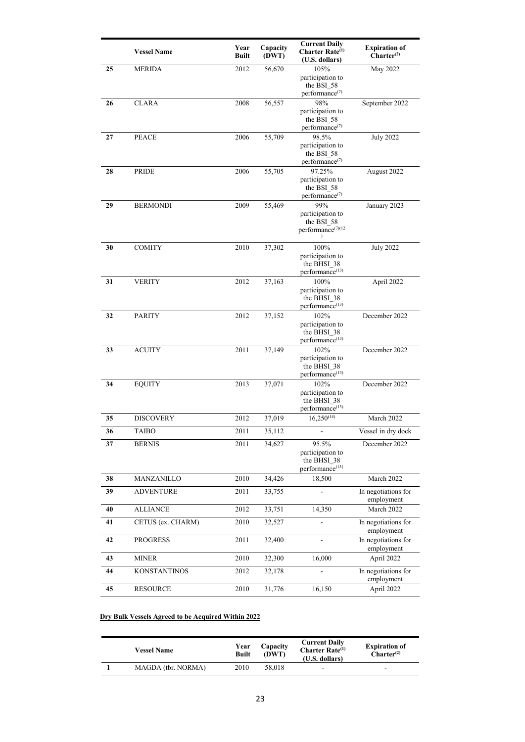|    | <b>Vessel Name</b> | Year<br><b>Built</b> | Capacity<br>(DWT) | <b>Current Daily</b><br>Charter Rate <sup>(1)</sup><br>(U.S. dollars)   | <b>Expiration of</b><br>$Charter^{(2)}$ |
|----|--------------------|----------------------|-------------------|-------------------------------------------------------------------------|-----------------------------------------|
| 25 | MERIDA             | 2012                 | 56,670            | 105%<br>participation to<br>the BSI 58<br>performance <sup>(7)</sup>    | May 2022                                |
| 26 | CLARA              | 2008                 | 56,557            | 98%<br>participation to<br>the BSI 58<br>performance <sup>(7)</sup>     | September 2022                          |
| 27 | <b>PEACE</b>       | 2006                 | 55,709            | 98.5%<br>participation to<br>the BSI 58<br>performance <sup>(7)</sup>   | <b>July 2022</b>                        |
| 28 | PRIDE              | 2006                 | 55,705            | 97.25%<br>participation to<br>the BSI 58<br>performance <sup>(7)</sup>  | August 2022                             |
| 29 | <b>BERMONDI</b>    | 2009                 | 55,469            | 99%<br>participation to<br>the BSI 58<br>performance <sup>(7)(12</sup>  | January 2023                            |
| 30 | <b>COMITY</b>      | 2010                 | 37,302            | 100%<br>participation to<br>the BHSI 38<br>performance <sup>(13)</sup>  | <b>July 2022</b>                        |
| 31 | <b>VERITY</b>      | 2012                 | 37,163            | 100%<br>participation to<br>the BHSI 38<br>performance <sup>(13)</sup>  | April 2022                              |
| 32 | <b>PARITY</b>      | 2012                 | 37,152            | 102%<br>participation to<br>the BHSI 38<br>performance <sup>(13)</sup>  | December 2022                           |
| 33 | <b>ACUITY</b>      | 2011                 | 37,149            | 102%<br>participation to<br>the BHSI 38<br>performance <sup>(13)</sup>  | December 2022                           |
| 34 | <b>EQUITY</b>      | 2013                 | 37,071            | 102%<br>participation to<br>the BHSI 38<br>performance <sup>(13)</sup>  | December 2022                           |
| 35 | <b>DISCOVERY</b>   | 2012                 | 37,019            | $16,250^{(14)}$                                                         | March 2022                              |
| 36 | TAIBO              | 2011                 | 35,112            |                                                                         | Vessel in dry dock                      |
| 37 | <b>BERNIS</b>      | 2011                 | 34,627            | 95.5%<br>participation to<br>the BHSI 38<br>performance <sup>(13)</sup> | December 2022                           |
| 38 | MANZANILLO         | 2010                 | 34,426            | 18,500                                                                  | March 2022                              |
| 39 | <b>ADVENTURE</b>   | 2011                 | 33,755            | L.                                                                      | In negotiations for<br>employment       |
| 40 | <b>ALLIANCE</b>    | 2012                 | 33,751            | 14,350                                                                  | March 2022                              |
| 41 | CETUS (ex. CHARM)  | 2010                 | 32,527            | ä,                                                                      | In negotiations for<br>employment       |
| 42 | PROGRESS           | 2011                 | 32,400            |                                                                         | In negotiations for<br>employment       |
| 43 | <b>MINER</b>       | 2010                 | 32,300            | 16,000                                                                  | April 2022                              |
| 44 | KONSTANTINOS       | 2012                 | 32,178            |                                                                         | In negotiations for<br>employment       |
| 45 | <b>RESOURCE</b>    | 2010                 | 31,776            | 16,150                                                                  | April 2022                              |

# **Dry Bulk Vessels Agreed to be Acquired Within 2022**

| <b>Vessel Name</b> | Year<br><b>Built</b> | Capacity<br>(DWT) | <b>Current Daily</b><br><b>Charter Rate</b> $^{(1)}$<br>(U.S. dollars) | <b>Expiration of</b><br>Charter <sup>(2)</sup> |
|--------------------|----------------------|-------------------|------------------------------------------------------------------------|------------------------------------------------|
| MAGDA (tbr. NORMA) | 2010                 | 58,018            | ۰                                                                      | -                                              |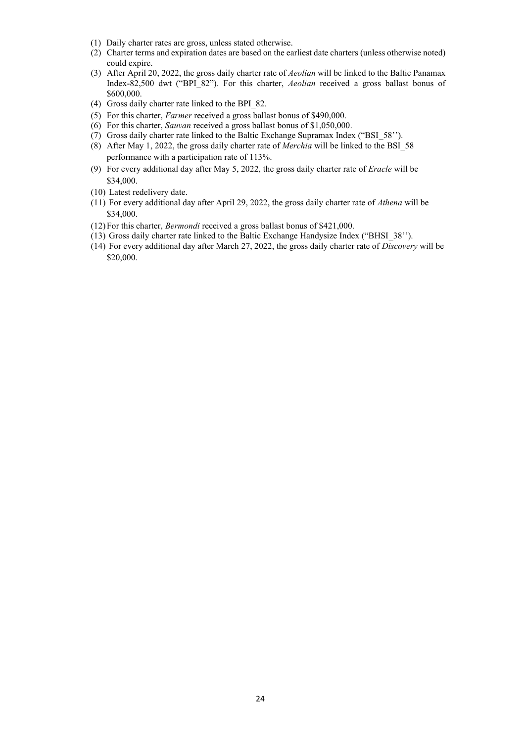- (1) Daily charter rates are gross, unless stated otherwise.
- (2) Charter terms and expiration dates are based on the earliest date charters (unless otherwise noted) could expire.
- (3) After April 20, 2022, the gross daily charter rate of *Aeolian* will be linked to the Baltic Panamax Index-82,500 dwt ("BPI\_82"). For this charter, *Aeolian* received a gross ballast bonus of \$600,000.
- (4) Gross daily charter rate linked to the BPI\_82.
- (5) For this charter, *Farmer* received a gross ballast bonus of \$490,000.
- (6) For this charter, *Sauvan* received a gross ballast bonus of \$1,050,000.
- (7) Gross daily charter rate linked to the Baltic Exchange Supramax Index ("BSI\_58'').
- (8) After May 1, 2022, the gross daily charter rate of *Merchia* will be linked to the BSI\_58 performance with a participation rate of 113%.
- (9) For every additional day after May 5, 2022, the gross daily charter rate of *Eracle* will be \$34,000.
- (10) Latest redelivery date.
- (11) For every additional day after April 29, 2022, the gross daily charter rate of *Athena* will be \$34,000.
- (12)For this charter, *Bermondi* received a gross ballast bonus of \$421,000.
- (13) Gross daily charter rate linked to the Baltic Exchange Handysize Index ("BHSI\_38'').
- (14) For every additional day after March 27, 2022, the gross daily charter rate of *Discovery* will be \$20,000.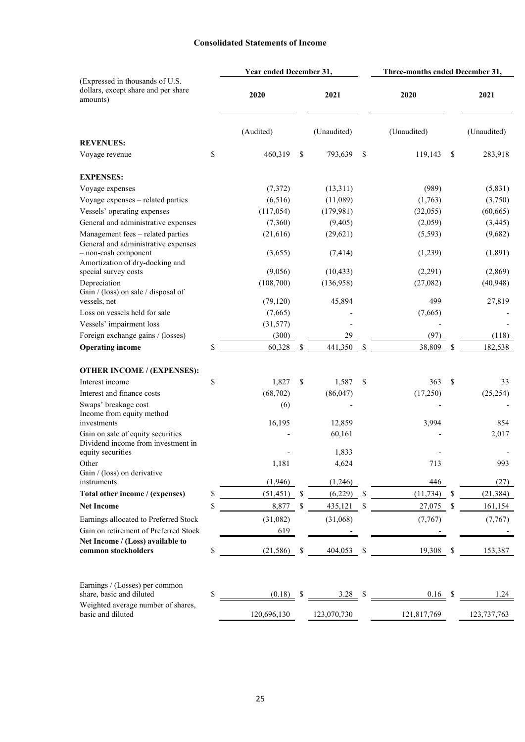# **Consolidated Statements of Income**

| (Expressed in thousands of U.S.<br>dollars, except share and per share<br>2020<br>2021<br>2020<br>2021<br>amounts)<br>(Audited)<br>(Unaudited)<br>(Unaudited)<br>(Unaudited)<br><b>REVENUES:</b><br>\$<br>460,319<br>\$<br>793,639<br>\$<br>119,143<br>\$<br>283,918<br>Voyage revenue<br><b>EXPENSES:</b><br>(7, 372)<br>(13,311)<br>(989)<br>(5,831)<br>Voyage expenses<br>(6,516)<br>Voyage expenses - related parties<br>(11,089)<br>(1,763)<br>(3,750)<br>Vessels' operating expenses<br>(117,054)<br>(179,981)<br>(32,055)<br>(60, 665)<br>General and administrative expenses<br>(7,360)<br>(3,445)<br>(9,405)<br>(2,059)<br>Management fees - related parties<br>(21, 616)<br>(29, 621)<br>(5, 593)<br>(9,682)<br>General and administrative expenses<br>- non-cash component<br>(1,239)<br>(1,891)<br>(3,655)<br>(7, 414)<br>Amortization of dry-docking and<br>(2,291)<br>(2,869)<br>special survey costs<br>(9,056)<br>(10, 433)<br>(108,700)<br>Depreciation<br>(136,958)<br>(27,082)<br>(40, 948)<br>Gain / (loss) on sale / disposal of<br>27,819<br>45,894<br>499<br>vessels, net<br>(79, 120)<br>Loss on vessels held for sale<br>(7,665)<br>(7,665)<br>Vessels' impairment loss<br>(31,577)<br>Foreign exchange gains / (losses)<br>(97)<br>(300)<br>29<br>(118)<br>\$<br>38,809<br>182,538<br><b>Operating income</b><br>60,328<br>\$<br>441,350<br>S<br>\$<br><b>OTHER INCOME / (EXPENSES):</b><br>\$<br>Interest income<br>1,827<br>1,587<br>\$<br>363<br>\$<br>S<br>33<br>(68, 702)<br>(86, 047)<br>(17,250)<br>Interest and finance costs<br>(25, 254)<br>Swaps' breakage cost<br>(6)<br>Income from equity method<br>16,195<br>12,859<br>3,994<br>854<br>investments<br>Gain on sale of equity securities<br>2,017<br>60,161<br>Dividend income from investment in<br>equity securities<br>1,833<br>1,181<br>4,624<br>713<br>993<br>Other<br>Gain / (loss) on derivative<br>(1,946)<br>446<br>(27)<br>instruments<br>(1,246)<br>\$<br>(51, 451)<br>(6,229)<br><sup>\$</sup><br>(11, 734)<br>Total other income / (expenses)<br>\$<br>(21, 384)<br>S<br>\$<br>8,877<br>\$<br>27,075<br>435,121<br>\$<br>161,154<br><b>Net Income</b><br>Earnings allocated to Preferred Stock<br>(31,082)<br>(31,068)<br>(7, 767)<br>(7,767)<br>Gain on retirement of Preferred Stock<br>619<br>Net Income / (Loss) available to<br>\$<br>common stockholders<br>(21, 586)<br>$\mathbf{s}$<br>404,053<br>\$<br>$19,308$ \$<br>153,387<br>Earnings / (Losses) per common<br>share, basic and diluted<br>\$<br>0.16<br>3.28<br>-\$<br>1.24<br>(0.18)<br>S<br>Weighted average number of shares,<br>basic and diluted<br>120,696,130<br>123,070,730<br>121,817,769<br>123, 737, 763 |  | Year ended December 31, |  | Three-months ended December 31, |  |  |  |
|----------------------------------------------------------------------------------------------------------------------------------------------------------------------------------------------------------------------------------------------------------------------------------------------------------------------------------------------------------------------------------------------------------------------------------------------------------------------------------------------------------------------------------------------------------------------------------------------------------------------------------------------------------------------------------------------------------------------------------------------------------------------------------------------------------------------------------------------------------------------------------------------------------------------------------------------------------------------------------------------------------------------------------------------------------------------------------------------------------------------------------------------------------------------------------------------------------------------------------------------------------------------------------------------------------------------------------------------------------------------------------------------------------------------------------------------------------------------------------------------------------------------------------------------------------------------------------------------------------------------------------------------------------------------------------------------------------------------------------------------------------------------------------------------------------------------------------------------------------------------------------------------------------------------------------------------------------------------------------------------------------------------------------------------------------------------------------------------------------------------------------------------------------------------------------------------------------------------------------------------------------------------------------------------------------------------------------------------------------------------------------------------------------------------------------------------------------------------------------------------------------------------------------------------------------------------------------------------------------------------------------------------------------------------------------------|--|-------------------------|--|---------------------------------|--|--|--|
|                                                                                                                                                                                                                                                                                                                                                                                                                                                                                                                                                                                                                                                                                                                                                                                                                                                                                                                                                                                                                                                                                                                                                                                                                                                                                                                                                                                                                                                                                                                                                                                                                                                                                                                                                                                                                                                                                                                                                                                                                                                                                                                                                                                                                                                                                                                                                                                                                                                                                                                                                                                                                                                                                        |  |                         |  |                                 |  |  |  |
|                                                                                                                                                                                                                                                                                                                                                                                                                                                                                                                                                                                                                                                                                                                                                                                                                                                                                                                                                                                                                                                                                                                                                                                                                                                                                                                                                                                                                                                                                                                                                                                                                                                                                                                                                                                                                                                                                                                                                                                                                                                                                                                                                                                                                                                                                                                                                                                                                                                                                                                                                                                                                                                                                        |  |                         |  |                                 |  |  |  |
|                                                                                                                                                                                                                                                                                                                                                                                                                                                                                                                                                                                                                                                                                                                                                                                                                                                                                                                                                                                                                                                                                                                                                                                                                                                                                                                                                                                                                                                                                                                                                                                                                                                                                                                                                                                                                                                                                                                                                                                                                                                                                                                                                                                                                                                                                                                                                                                                                                                                                                                                                                                                                                                                                        |  |                         |  |                                 |  |  |  |
|                                                                                                                                                                                                                                                                                                                                                                                                                                                                                                                                                                                                                                                                                                                                                                                                                                                                                                                                                                                                                                                                                                                                                                                                                                                                                                                                                                                                                                                                                                                                                                                                                                                                                                                                                                                                                                                                                                                                                                                                                                                                                                                                                                                                                                                                                                                                                                                                                                                                                                                                                                                                                                                                                        |  |                         |  |                                 |  |  |  |
|                                                                                                                                                                                                                                                                                                                                                                                                                                                                                                                                                                                                                                                                                                                                                                                                                                                                                                                                                                                                                                                                                                                                                                                                                                                                                                                                                                                                                                                                                                                                                                                                                                                                                                                                                                                                                                                                                                                                                                                                                                                                                                                                                                                                                                                                                                                                                                                                                                                                                                                                                                                                                                                                                        |  |                         |  |                                 |  |  |  |
|                                                                                                                                                                                                                                                                                                                                                                                                                                                                                                                                                                                                                                                                                                                                                                                                                                                                                                                                                                                                                                                                                                                                                                                                                                                                                                                                                                                                                                                                                                                                                                                                                                                                                                                                                                                                                                                                                                                                                                                                                                                                                                                                                                                                                                                                                                                                                                                                                                                                                                                                                                                                                                                                                        |  |                         |  |                                 |  |  |  |
|                                                                                                                                                                                                                                                                                                                                                                                                                                                                                                                                                                                                                                                                                                                                                                                                                                                                                                                                                                                                                                                                                                                                                                                                                                                                                                                                                                                                                                                                                                                                                                                                                                                                                                                                                                                                                                                                                                                                                                                                                                                                                                                                                                                                                                                                                                                                                                                                                                                                                                                                                                                                                                                                                        |  |                         |  |                                 |  |  |  |
|                                                                                                                                                                                                                                                                                                                                                                                                                                                                                                                                                                                                                                                                                                                                                                                                                                                                                                                                                                                                                                                                                                                                                                                                                                                                                                                                                                                                                                                                                                                                                                                                                                                                                                                                                                                                                                                                                                                                                                                                                                                                                                                                                                                                                                                                                                                                                                                                                                                                                                                                                                                                                                                                                        |  |                         |  |                                 |  |  |  |
|                                                                                                                                                                                                                                                                                                                                                                                                                                                                                                                                                                                                                                                                                                                                                                                                                                                                                                                                                                                                                                                                                                                                                                                                                                                                                                                                                                                                                                                                                                                                                                                                                                                                                                                                                                                                                                                                                                                                                                                                                                                                                                                                                                                                                                                                                                                                                                                                                                                                                                                                                                                                                                                                                        |  |                         |  |                                 |  |  |  |
|                                                                                                                                                                                                                                                                                                                                                                                                                                                                                                                                                                                                                                                                                                                                                                                                                                                                                                                                                                                                                                                                                                                                                                                                                                                                                                                                                                                                                                                                                                                                                                                                                                                                                                                                                                                                                                                                                                                                                                                                                                                                                                                                                                                                                                                                                                                                                                                                                                                                                                                                                                                                                                                                                        |  |                         |  |                                 |  |  |  |
|                                                                                                                                                                                                                                                                                                                                                                                                                                                                                                                                                                                                                                                                                                                                                                                                                                                                                                                                                                                                                                                                                                                                                                                                                                                                                                                                                                                                                                                                                                                                                                                                                                                                                                                                                                                                                                                                                                                                                                                                                                                                                                                                                                                                                                                                                                                                                                                                                                                                                                                                                                                                                                                                                        |  |                         |  |                                 |  |  |  |
|                                                                                                                                                                                                                                                                                                                                                                                                                                                                                                                                                                                                                                                                                                                                                                                                                                                                                                                                                                                                                                                                                                                                                                                                                                                                                                                                                                                                                                                                                                                                                                                                                                                                                                                                                                                                                                                                                                                                                                                                                                                                                                                                                                                                                                                                                                                                                                                                                                                                                                                                                                                                                                                                                        |  |                         |  |                                 |  |  |  |
|                                                                                                                                                                                                                                                                                                                                                                                                                                                                                                                                                                                                                                                                                                                                                                                                                                                                                                                                                                                                                                                                                                                                                                                                                                                                                                                                                                                                                                                                                                                                                                                                                                                                                                                                                                                                                                                                                                                                                                                                                                                                                                                                                                                                                                                                                                                                                                                                                                                                                                                                                                                                                                                                                        |  |                         |  |                                 |  |  |  |
|                                                                                                                                                                                                                                                                                                                                                                                                                                                                                                                                                                                                                                                                                                                                                                                                                                                                                                                                                                                                                                                                                                                                                                                                                                                                                                                                                                                                                                                                                                                                                                                                                                                                                                                                                                                                                                                                                                                                                                                                                                                                                                                                                                                                                                                                                                                                                                                                                                                                                                                                                                                                                                                                                        |  |                         |  |                                 |  |  |  |
|                                                                                                                                                                                                                                                                                                                                                                                                                                                                                                                                                                                                                                                                                                                                                                                                                                                                                                                                                                                                                                                                                                                                                                                                                                                                                                                                                                                                                                                                                                                                                                                                                                                                                                                                                                                                                                                                                                                                                                                                                                                                                                                                                                                                                                                                                                                                                                                                                                                                                                                                                                                                                                                                                        |  |                         |  |                                 |  |  |  |
|                                                                                                                                                                                                                                                                                                                                                                                                                                                                                                                                                                                                                                                                                                                                                                                                                                                                                                                                                                                                                                                                                                                                                                                                                                                                                                                                                                                                                                                                                                                                                                                                                                                                                                                                                                                                                                                                                                                                                                                                                                                                                                                                                                                                                                                                                                                                                                                                                                                                                                                                                                                                                                                                                        |  |                         |  |                                 |  |  |  |
|                                                                                                                                                                                                                                                                                                                                                                                                                                                                                                                                                                                                                                                                                                                                                                                                                                                                                                                                                                                                                                                                                                                                                                                                                                                                                                                                                                                                                                                                                                                                                                                                                                                                                                                                                                                                                                                                                                                                                                                                                                                                                                                                                                                                                                                                                                                                                                                                                                                                                                                                                                                                                                                                                        |  |                         |  |                                 |  |  |  |
|                                                                                                                                                                                                                                                                                                                                                                                                                                                                                                                                                                                                                                                                                                                                                                                                                                                                                                                                                                                                                                                                                                                                                                                                                                                                                                                                                                                                                                                                                                                                                                                                                                                                                                                                                                                                                                                                                                                                                                                                                                                                                                                                                                                                                                                                                                                                                                                                                                                                                                                                                                                                                                                                                        |  |                         |  |                                 |  |  |  |
|                                                                                                                                                                                                                                                                                                                                                                                                                                                                                                                                                                                                                                                                                                                                                                                                                                                                                                                                                                                                                                                                                                                                                                                                                                                                                                                                                                                                                                                                                                                                                                                                                                                                                                                                                                                                                                                                                                                                                                                                                                                                                                                                                                                                                                                                                                                                                                                                                                                                                                                                                                                                                                                                                        |  |                         |  |                                 |  |  |  |
|                                                                                                                                                                                                                                                                                                                                                                                                                                                                                                                                                                                                                                                                                                                                                                                                                                                                                                                                                                                                                                                                                                                                                                                                                                                                                                                                                                                                                                                                                                                                                                                                                                                                                                                                                                                                                                                                                                                                                                                                                                                                                                                                                                                                                                                                                                                                                                                                                                                                                                                                                                                                                                                                                        |  |                         |  |                                 |  |  |  |
|                                                                                                                                                                                                                                                                                                                                                                                                                                                                                                                                                                                                                                                                                                                                                                                                                                                                                                                                                                                                                                                                                                                                                                                                                                                                                                                                                                                                                                                                                                                                                                                                                                                                                                                                                                                                                                                                                                                                                                                                                                                                                                                                                                                                                                                                                                                                                                                                                                                                                                                                                                                                                                                                                        |  |                         |  |                                 |  |  |  |
|                                                                                                                                                                                                                                                                                                                                                                                                                                                                                                                                                                                                                                                                                                                                                                                                                                                                                                                                                                                                                                                                                                                                                                                                                                                                                                                                                                                                                                                                                                                                                                                                                                                                                                                                                                                                                                                                                                                                                                                                                                                                                                                                                                                                                                                                                                                                                                                                                                                                                                                                                                                                                                                                                        |  |                         |  |                                 |  |  |  |
|                                                                                                                                                                                                                                                                                                                                                                                                                                                                                                                                                                                                                                                                                                                                                                                                                                                                                                                                                                                                                                                                                                                                                                                                                                                                                                                                                                                                                                                                                                                                                                                                                                                                                                                                                                                                                                                                                                                                                                                                                                                                                                                                                                                                                                                                                                                                                                                                                                                                                                                                                                                                                                                                                        |  |                         |  |                                 |  |  |  |
|                                                                                                                                                                                                                                                                                                                                                                                                                                                                                                                                                                                                                                                                                                                                                                                                                                                                                                                                                                                                                                                                                                                                                                                                                                                                                                                                                                                                                                                                                                                                                                                                                                                                                                                                                                                                                                                                                                                                                                                                                                                                                                                                                                                                                                                                                                                                                                                                                                                                                                                                                                                                                                                                                        |  |                         |  |                                 |  |  |  |
|                                                                                                                                                                                                                                                                                                                                                                                                                                                                                                                                                                                                                                                                                                                                                                                                                                                                                                                                                                                                                                                                                                                                                                                                                                                                                                                                                                                                                                                                                                                                                                                                                                                                                                                                                                                                                                                                                                                                                                                                                                                                                                                                                                                                                                                                                                                                                                                                                                                                                                                                                                                                                                                                                        |  |                         |  |                                 |  |  |  |
|                                                                                                                                                                                                                                                                                                                                                                                                                                                                                                                                                                                                                                                                                                                                                                                                                                                                                                                                                                                                                                                                                                                                                                                                                                                                                                                                                                                                                                                                                                                                                                                                                                                                                                                                                                                                                                                                                                                                                                                                                                                                                                                                                                                                                                                                                                                                                                                                                                                                                                                                                                                                                                                                                        |  |                         |  |                                 |  |  |  |
|                                                                                                                                                                                                                                                                                                                                                                                                                                                                                                                                                                                                                                                                                                                                                                                                                                                                                                                                                                                                                                                                                                                                                                                                                                                                                                                                                                                                                                                                                                                                                                                                                                                                                                                                                                                                                                                                                                                                                                                                                                                                                                                                                                                                                                                                                                                                                                                                                                                                                                                                                                                                                                                                                        |  |                         |  |                                 |  |  |  |
|                                                                                                                                                                                                                                                                                                                                                                                                                                                                                                                                                                                                                                                                                                                                                                                                                                                                                                                                                                                                                                                                                                                                                                                                                                                                                                                                                                                                                                                                                                                                                                                                                                                                                                                                                                                                                                                                                                                                                                                                                                                                                                                                                                                                                                                                                                                                                                                                                                                                                                                                                                                                                                                                                        |  |                         |  |                                 |  |  |  |
|                                                                                                                                                                                                                                                                                                                                                                                                                                                                                                                                                                                                                                                                                                                                                                                                                                                                                                                                                                                                                                                                                                                                                                                                                                                                                                                                                                                                                                                                                                                                                                                                                                                                                                                                                                                                                                                                                                                                                                                                                                                                                                                                                                                                                                                                                                                                                                                                                                                                                                                                                                                                                                                                                        |  |                         |  |                                 |  |  |  |
|                                                                                                                                                                                                                                                                                                                                                                                                                                                                                                                                                                                                                                                                                                                                                                                                                                                                                                                                                                                                                                                                                                                                                                                                                                                                                                                                                                                                                                                                                                                                                                                                                                                                                                                                                                                                                                                                                                                                                                                                                                                                                                                                                                                                                                                                                                                                                                                                                                                                                                                                                                                                                                                                                        |  |                         |  |                                 |  |  |  |
|                                                                                                                                                                                                                                                                                                                                                                                                                                                                                                                                                                                                                                                                                                                                                                                                                                                                                                                                                                                                                                                                                                                                                                                                                                                                                                                                                                                                                                                                                                                                                                                                                                                                                                                                                                                                                                                                                                                                                                                                                                                                                                                                                                                                                                                                                                                                                                                                                                                                                                                                                                                                                                                                                        |  |                         |  |                                 |  |  |  |
|                                                                                                                                                                                                                                                                                                                                                                                                                                                                                                                                                                                                                                                                                                                                                                                                                                                                                                                                                                                                                                                                                                                                                                                                                                                                                                                                                                                                                                                                                                                                                                                                                                                                                                                                                                                                                                                                                                                                                                                                                                                                                                                                                                                                                                                                                                                                                                                                                                                                                                                                                                                                                                                                                        |  |                         |  |                                 |  |  |  |
|                                                                                                                                                                                                                                                                                                                                                                                                                                                                                                                                                                                                                                                                                                                                                                                                                                                                                                                                                                                                                                                                                                                                                                                                                                                                                                                                                                                                                                                                                                                                                                                                                                                                                                                                                                                                                                                                                                                                                                                                                                                                                                                                                                                                                                                                                                                                                                                                                                                                                                                                                                                                                                                                                        |  |                         |  |                                 |  |  |  |
|                                                                                                                                                                                                                                                                                                                                                                                                                                                                                                                                                                                                                                                                                                                                                                                                                                                                                                                                                                                                                                                                                                                                                                                                                                                                                                                                                                                                                                                                                                                                                                                                                                                                                                                                                                                                                                                                                                                                                                                                                                                                                                                                                                                                                                                                                                                                                                                                                                                                                                                                                                                                                                                                                        |  |                         |  |                                 |  |  |  |
|                                                                                                                                                                                                                                                                                                                                                                                                                                                                                                                                                                                                                                                                                                                                                                                                                                                                                                                                                                                                                                                                                                                                                                                                                                                                                                                                                                                                                                                                                                                                                                                                                                                                                                                                                                                                                                                                                                                                                                                                                                                                                                                                                                                                                                                                                                                                                                                                                                                                                                                                                                                                                                                                                        |  |                         |  |                                 |  |  |  |
|                                                                                                                                                                                                                                                                                                                                                                                                                                                                                                                                                                                                                                                                                                                                                                                                                                                                                                                                                                                                                                                                                                                                                                                                                                                                                                                                                                                                                                                                                                                                                                                                                                                                                                                                                                                                                                                                                                                                                                                                                                                                                                                                                                                                                                                                                                                                                                                                                                                                                                                                                                                                                                                                                        |  |                         |  |                                 |  |  |  |
|                                                                                                                                                                                                                                                                                                                                                                                                                                                                                                                                                                                                                                                                                                                                                                                                                                                                                                                                                                                                                                                                                                                                                                                                                                                                                                                                                                                                                                                                                                                                                                                                                                                                                                                                                                                                                                                                                                                                                                                                                                                                                                                                                                                                                                                                                                                                                                                                                                                                                                                                                                                                                                                                                        |  |                         |  |                                 |  |  |  |
|                                                                                                                                                                                                                                                                                                                                                                                                                                                                                                                                                                                                                                                                                                                                                                                                                                                                                                                                                                                                                                                                                                                                                                                                                                                                                                                                                                                                                                                                                                                                                                                                                                                                                                                                                                                                                                                                                                                                                                                                                                                                                                                                                                                                                                                                                                                                                                                                                                                                                                                                                                                                                                                                                        |  |                         |  |                                 |  |  |  |
|                                                                                                                                                                                                                                                                                                                                                                                                                                                                                                                                                                                                                                                                                                                                                                                                                                                                                                                                                                                                                                                                                                                                                                                                                                                                                                                                                                                                                                                                                                                                                                                                                                                                                                                                                                                                                                                                                                                                                                                                                                                                                                                                                                                                                                                                                                                                                                                                                                                                                                                                                                                                                                                                                        |  |                         |  |                                 |  |  |  |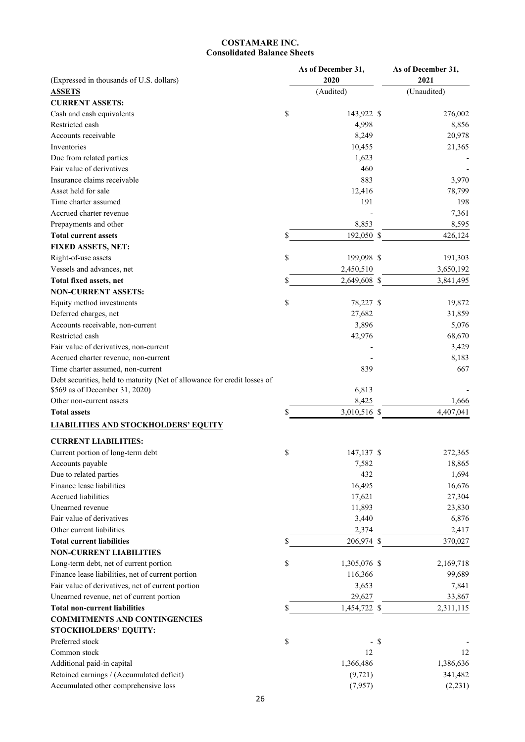# **COSTAMARE INC. Consolidated Balance Sheets**

| (Expressed in thousands of U.S. dollars)                                 |    | As of December 31,<br>2020 |        | As of December 31,<br>2021 |
|--------------------------------------------------------------------------|----|----------------------------|--------|----------------------------|
| <b>ASSETS</b>                                                            |    | (Audited)                  |        | (Unaudited)                |
| <b>CURRENT ASSETS:</b>                                                   |    |                            |        |                            |
| Cash and cash equivalents                                                | \$ | 143,922 \$                 |        | 276,002                    |
| Restricted cash                                                          |    | 4,998                      |        | 8,856                      |
| Accounts receivable                                                      |    | 8,249                      |        | 20,978                     |
| Inventories                                                              |    | 10,455                     |        | 21,365                     |
| Due from related parties                                                 |    | 1,623                      |        |                            |
| Fair value of derivatives                                                |    | 460                        |        |                            |
| Insurance claims receivable                                              |    | 883                        |        | 3,970                      |
| Asset held for sale                                                      |    | 12,416                     |        | 78,799                     |
| Time charter assumed                                                     |    | 191                        |        | 198                        |
| Accrued charter revenue                                                  |    |                            |        | 7,361                      |
| Prepayments and other                                                    |    | 8,853                      |        | 8,595                      |
| <b>Total current assets</b>                                              | \$ | 192,050 \$                 |        | 426,124                    |
| FIXED ASSETS, NET:                                                       |    |                            |        |                            |
| Right-of-use assets                                                      | \$ | 199,098 \$                 |        | 191,303                    |
| Vessels and advances, net                                                |    | 2,450,510                  |        | 3,650,192                  |
| Total fixed assets, net                                                  | \$ | 2,649,608 \$               |        | 3,841,495                  |
| <b>NON-CURRENT ASSETS:</b>                                               |    |                            |        |                            |
| Equity method investments                                                | \$ | 78,227 \$                  |        | 19,872                     |
| Deferred charges, net                                                    |    | 27,682                     |        | 31,859                     |
| Accounts receivable, non-current                                         |    | 3,896                      |        | 5,076                      |
| Restricted cash                                                          |    | 42,976                     |        | 68,670                     |
| Fair value of derivatives, non-current                                   |    |                            |        | 3,429                      |
| Accrued charter revenue, non-current                                     |    |                            |        | 8,183                      |
| Time charter assumed, non-current                                        |    | 839                        |        | 667                        |
| Debt securities, held to maturity (Net of allowance for credit losses of |    |                            |        |                            |
| \$569 as of December 31, 2020)                                           |    | 6,813                      |        |                            |
| Other non-current assets                                                 |    | 8,425                      |        | 1,666                      |
| <b>Total assets</b>                                                      | S  | 3,010,516 \$               |        | 4,407,041                  |
| <b>LIABILITIES AND STOCKHOLDERS' EQUITY</b>                              |    |                            |        |                            |
|                                                                          |    |                            |        |                            |
| <b>CURRENT LIABILITIES:</b>                                              |    |                            |        |                            |
| Current portion of long-term debt                                        | \$ | 147,137 \$                 |        | 272,365                    |
| Accounts payable                                                         |    | 7,582                      |        | 18,865                     |
| Due to related parties                                                   |    | 432                        |        | 1,694                      |
| Finance lease liabilities                                                |    | 16,495                     |        | 16,676                     |
| <b>Accrued liabilities</b>                                               |    | 17,621                     |        | 27,304                     |
| Unearned revenue                                                         |    | 11,893                     |        | 23,830                     |
| Fair value of derivatives                                                |    | 3,440                      |        | 6,876                      |
| Other current liabilities                                                |    | 2,374                      |        | 2,417                      |
| <b>Total current liabilities</b>                                         | \$ | 206,974 \$                 |        | 370,027                    |
| <b>NON-CURRENT LIABILITIES</b>                                           |    |                            |        |                            |
| Long-term debt, net of current portion                                   | \$ | 1,305,076 \$               |        | 2,169,718                  |
| Finance lease liabilities, net of current portion                        |    | 116,366                    |        | 99,689                     |
| Fair value of derivatives, net of current portion                        |    | 3,653                      |        | 7,841                      |
| Unearned revenue, net of current portion                                 |    | 29,627                     |        | 33,867                     |
| <b>Total non-current liabilities</b>                                     | \$ | 1,454,722 \$               |        | 2,311,115                  |
| <b>COMMITMENTS AND CONTINGENCIES</b>                                     |    |                            |        |                            |
| <b>STOCKHOLDERS' EQUITY:</b>                                             |    |                            |        |                            |
| Preferred stock                                                          | \$ |                            | $-$ \$ |                            |
| Common stock                                                             |    | 12                         |        | 12                         |
| Additional paid-in capital                                               |    | 1,366,486                  |        | 1,386,636                  |
| Retained earnings / (Accumulated deficit)                                |    | (9, 721)                   |        | 341,482                    |
| Accumulated other comprehensive loss                                     |    | (7,957)                    |        | (2, 231)                   |